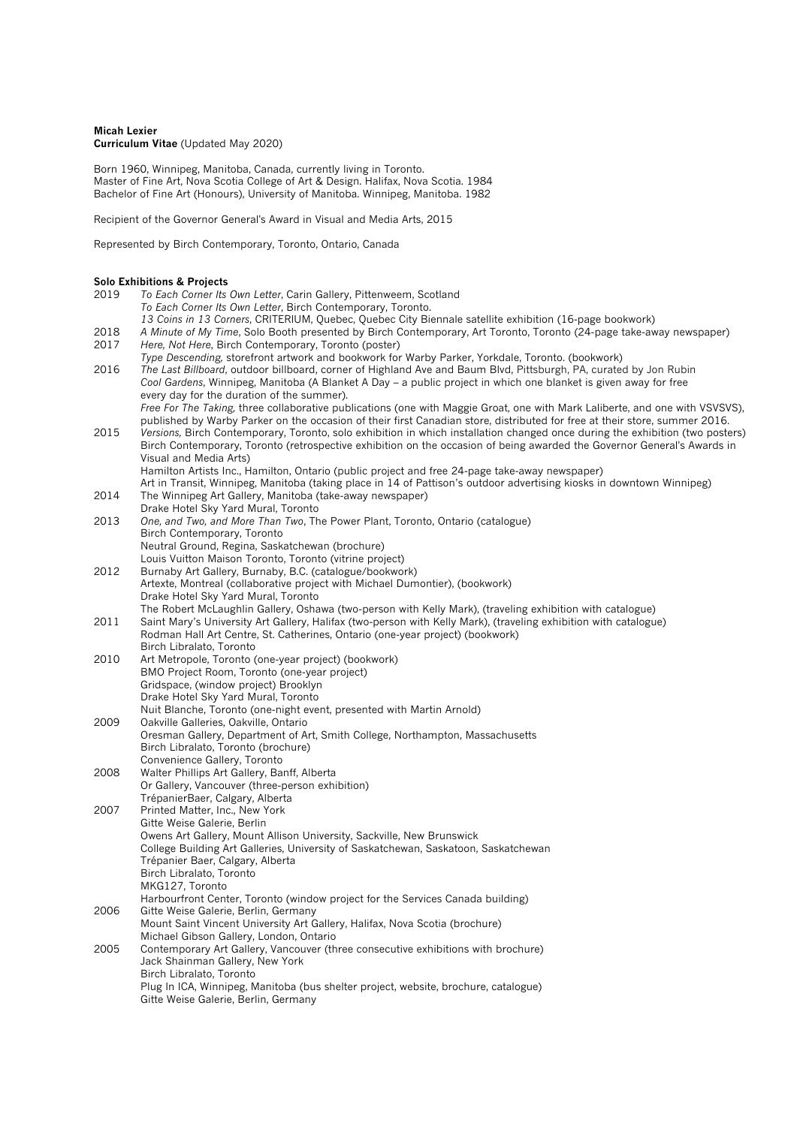# **Micah Lexier Curriculum Vitae** (Updated May 2020)

Born 1960, Winnipeg, Manitoba, Canada, currently living in Toronto. Master of Fine Art, Nova Scotia College of Art & Design. Halifax, Nova Scotia. 1984 Bachelor of Fine Art (Honours), University of Manitoba. Winnipeg, Manitoba. 1982

Recipient of the Governor General's Award in Visual and Media Arts, 2015

Represented by Birch Contemporary, Toronto, Ontario, Canada

# **Solo Exhibitions & Projects**

| 2019 | To Each Corner Its Own Letter, Carin Gallery, Pittenweem, Scotland                                                            |
|------|-------------------------------------------------------------------------------------------------------------------------------|
|      | To Each Corner Its Own Letter, Birch Contemporary, Toronto.                                                                   |
|      | 13 Coins in 13 Corners, CRITERIUM, Quebec, Quebec City Biennale satellite exhibition (16-page bookwork)                       |
| 2018 | A Minute of My Time, Solo Booth presented by Birch Contemporary, Art Toronto, Toronto (24-page take-away newspaper)           |
| 2017 | Here, Not Here, Birch Contemporary, Toronto (poster)                                                                          |
|      | Type Descending, storefront artwork and bookwork for Warby Parker, Yorkdale, Toronto. (bookwork)                              |
| 2016 | The Last Billboard, outdoor billboard, corner of Highland Ave and Baum Blvd, Pittsburgh, PA, curated by Jon Rubin             |
|      | Cool Gardens, Winnipeg, Manitoba (A Blanket A Day – a public project in which one blanket is given away for free              |
|      | every day for the duration of the summer).                                                                                    |
|      | Free For The Taking, three collaborative publications (one with Maggie Groat, one with Mark Laliberte, and one with VSVSVS),  |
|      | published by Warby Parker on the occasion of their first Canadian store, distributed for free at their store, summer 2016.    |
| 2015 | Versions, Birch Contemporary, Toronto, solo exhibition in which installation changed once during the exhibition (two posters) |
|      | Birch Contemporary, Toronto (retrospective exhibition on the occasion of being awarded the Governor General's Awards in       |
|      | Visual and Media Arts)                                                                                                        |
|      | Hamilton Artists Inc., Hamilton, Ontario (public project and free 24-page take-away newspaper)                                |
|      | Art in Transit, Winnipeg, Manitoba (taking place in 14 of Pattison's outdoor advertising kiosks in downtown Winnipeg)         |
| 2014 | The Winnipeg Art Gallery, Manitoba (take-away newspaper)                                                                      |
|      | Drake Hotel Sky Yard Mural, Toronto                                                                                           |
| 2013 | One, and Two, and More Than Two, The Power Plant, Toronto, Ontario (catalogue)                                                |
|      | Birch Contemporary, Toronto                                                                                                   |
|      | Neutral Ground, Regina, Saskatchewan (brochure)                                                                               |
|      | Louis Vuitton Maison Toronto, Toronto (vitrine project)                                                                       |
| 2012 | Burnaby Art Gallery, Burnaby, B.C. (catalogue/bookwork)                                                                       |
|      | Artexte, Montreal (collaborative project with Michael Dumontier), (bookwork)                                                  |
|      | Drake Hotel Sky Yard Mural, Toronto                                                                                           |
|      | The Robert McLaughlin Gallery, Oshawa (two-person with Kelly Mark), (traveling exhibition with catalogue)                     |
| 2011 | Saint Mary's University Art Gallery, Halifax (two-person with Kelly Mark), (traveling exhibition with catalogue)              |
|      | Rodman Hall Art Centre, St. Catherines, Ontario (one-year project) (bookwork)                                                 |
|      | Birch Libralato, Toronto                                                                                                      |
| 2010 | Art Metropole, Toronto (one-year project) (bookwork)                                                                          |
|      | BMO Project Room, Toronto (one-year project)                                                                                  |
|      | Gridspace, (window project) Brooklyn                                                                                          |
|      | Drake Hotel Sky Yard Mural, Toronto                                                                                           |
|      | Nuit Blanche, Toronto (one-night event, presented with Martin Arnold)                                                         |
| 2009 | Oakville Galleries, Oakville, Ontario                                                                                         |
|      | Oresman Gallery, Department of Art, Smith College, Northampton, Massachusetts                                                 |
|      | Birch Libralato, Toronto (brochure)                                                                                           |
|      | Convenience Gallery, Toronto                                                                                                  |
| 2008 | Walter Phillips Art Gallery, Banff, Alberta                                                                                   |
|      | Or Gallery, Vancouver (three-person exhibition)                                                                               |
|      | TrépanierBaer, Calgary, Alberta                                                                                               |
| 2007 | Printed Matter, Inc., New York                                                                                                |
|      | Gitte Weise Galerie, Berlin                                                                                                   |
|      | Owens Art Gallery, Mount Allison University, Sackville, New Brunswick                                                         |
|      | College Building Art Galleries, University of Saskatchewan, Saskatoon, Saskatchewan                                           |
|      | Trépanier Baer, Calgary, Alberta                                                                                              |
|      | Birch Libralato, Toronto                                                                                                      |
|      | MKG127, Toronto                                                                                                               |
| 2006 | Harbourfront Center, Toronto (window project for the Services Canada building)<br>Gitte Weise Galerie, Berlin, Germany        |
|      | Mount Saint Vincent University Art Gallery, Halifax, Nova Scotia (brochure)                                                   |
|      | Michael Gibson Gallery, London, Ontario                                                                                       |
| 2005 | Contemporary Art Gallery, Vancouver (three consecutive exhibitions with brochure)                                             |
|      | Jack Shainman Gallery, New York                                                                                               |
|      | Birch Libralato, Toronto                                                                                                      |
|      | Plug In ICA, Winnipeg, Manitoba (bus shelter project, website, brochure, catalogue)                                           |
|      | Gitte Weise Galerie, Berlin, Germany                                                                                          |
|      |                                                                                                                               |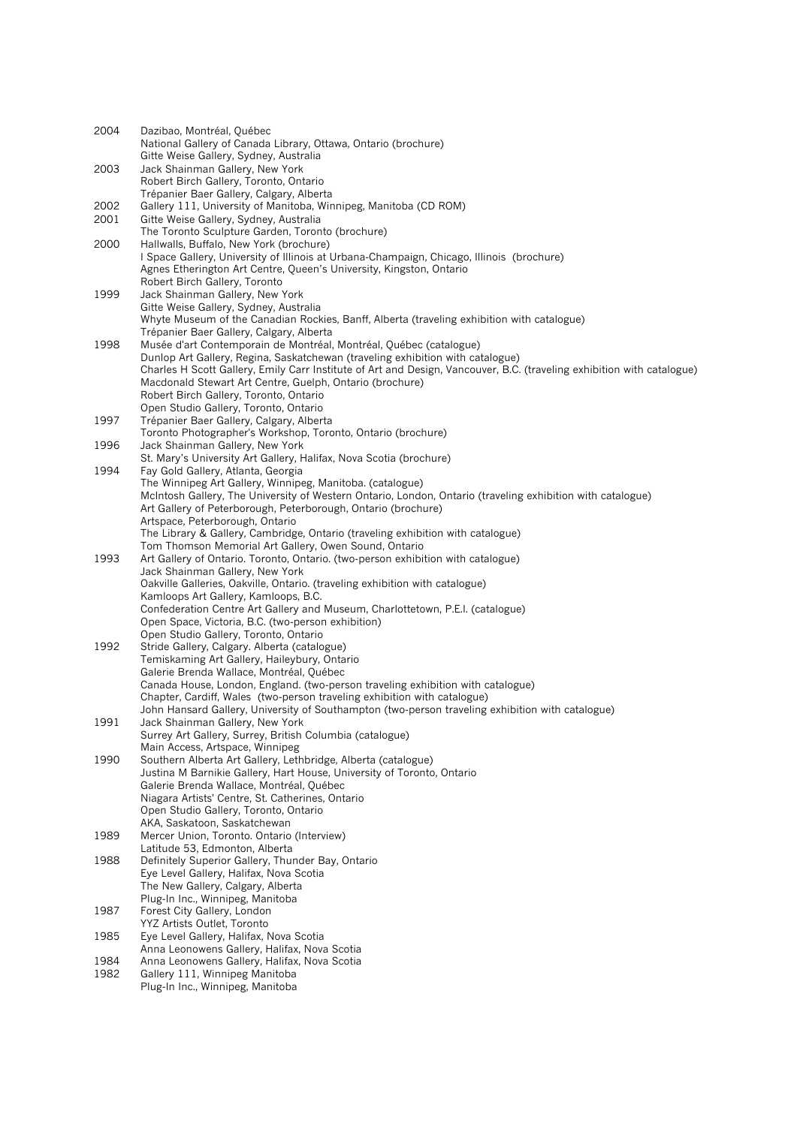| 2004         | Dazibao, Montréal, Québec                                                                                                                                                          |
|--------------|------------------------------------------------------------------------------------------------------------------------------------------------------------------------------------|
|              | National Gallery of Canada Library, Ottawa, Ontario (brochure)                                                                                                                     |
|              | Gitte Weise Gallery, Sydney, Australia                                                                                                                                             |
| 2003         | Jack Shainman Gallery, New York                                                                                                                                                    |
|              | Robert Birch Gallery, Toronto, Ontario                                                                                                                                             |
|              | Trépanier Baer Gallery, Calgary, Alberta                                                                                                                                           |
| 2002<br>2001 | Gallery 111, University of Manitoba, Winnipeg, Manitoba (CD ROM)<br>Gitte Weise Gallery, Sydney, Australia                                                                         |
|              | The Toronto Sculpture Garden, Toronto (brochure)                                                                                                                                   |
| 2000         | Hallwalls, Buffalo, New York (brochure)                                                                                                                                            |
|              | I Space Gallery, University of Illinois at Urbana-Champaign, Chicago, Illinois (brochure)                                                                                          |
|              | Agnes Etherington Art Centre, Queen's University, Kingston, Ontario                                                                                                                |
|              | Robert Birch Gallery, Toronto                                                                                                                                                      |
| 1999         | Jack Shainman Gallery, New York                                                                                                                                                    |
|              | Gitte Weise Gallery, Sydney, Australia                                                                                                                                             |
|              | Whyte Museum of the Canadian Rockies, Banff, Alberta (traveling exhibition with catalogue)                                                                                         |
|              | Trépanier Baer Gallery, Calgary, Alberta                                                                                                                                           |
| 1998         | Musée d'art Contemporain de Montréal, Montréal, Québec (catalogue)                                                                                                                 |
|              | Dunlop Art Gallery, Regina, Saskatchewan (traveling exhibition with catalogue)                                                                                                     |
|              | Charles H Scott Gallery, Emily Carr Institute of Art and Design, Vancouver, B.C. (traveling exhibition with catalogue)<br>Macdonald Stewart Art Centre, Guelph, Ontario (brochure) |
|              | Robert Birch Gallery, Toronto, Ontario                                                                                                                                             |
|              | Open Studio Gallery, Toronto, Ontario                                                                                                                                              |
| 1997         | Trépanier Baer Gallery, Calgary, Alberta                                                                                                                                           |
|              | Toronto Photographer's Workshop, Toronto, Ontario (brochure)                                                                                                                       |
| 1996         | Jack Shainman Gallery, New York                                                                                                                                                    |
|              | St. Mary's University Art Gallery, Halifax, Nova Scotia (brochure)                                                                                                                 |
| 1994         | Fay Gold Gallery, Atlanta, Georgia                                                                                                                                                 |
|              | The Winnipeg Art Gallery, Winnipeg, Manitoba. (catalogue)                                                                                                                          |
|              | McIntosh Gallery, The University of Western Ontario, London, Ontario (traveling exhibition with catalogue)                                                                         |
|              | Art Gallery of Peterborough, Peterborough, Ontario (brochure)                                                                                                                      |
|              | Artspace, Peterborough, Ontario<br>The Library & Gallery, Cambridge, Ontario (traveling exhibition with catalogue)                                                                 |
|              | Tom Thomson Memorial Art Gallery, Owen Sound, Ontario                                                                                                                              |
| 1993         | Art Gallery of Ontario. Toronto, Ontario. (two-person exhibition with catalogue)                                                                                                   |
|              | Jack Shainman Gallery, New York                                                                                                                                                    |
|              | Oakville Galleries, Oakville, Ontario. (traveling exhibition with catalogue)                                                                                                       |
|              | Kamloops Art Gallery, Kamloops, B.C.                                                                                                                                               |
|              | Confederation Centre Art Gallery and Museum, Charlottetown, P.E.I. (catalogue)                                                                                                     |
|              | Open Space, Victoria, B.C. (two-person exhibition)                                                                                                                                 |
|              | Open Studio Gallery, Toronto, Ontario                                                                                                                                              |
| 1992         | Stride Gallery, Calgary. Alberta (catalogue)                                                                                                                                       |
|              | Temiskaming Art Gallery, Haileybury, Ontario<br>Galerie Brenda Wallace, Montréal, Québec                                                                                           |
|              | Canada House, London, England. (two-person traveling exhibition with catalogue)                                                                                                    |
|              | Chapter, Cardiff, Wales (two-person traveling exhibition with catalogue)                                                                                                           |
|              | John Hansard Gallery, University of Southampton (two-person traveling exhibition with catalogue)                                                                                   |
| 1991         | Jack Shainman Gallery, New York                                                                                                                                                    |
|              | Surrey Art Gallery, Surrey, British Columbia (catalogue)                                                                                                                           |
|              | Main Access, Artspace, Winnipeg                                                                                                                                                    |
| 1990         | Southern Alberta Art Gallery, Lethbridge, Alberta (catalogue)                                                                                                                      |
|              | Justina M Barnikie Gallery, Hart House, University of Toronto, Ontario                                                                                                             |
|              | Galerie Brenda Wallace, Montréal, Québec                                                                                                                                           |
|              | Niagara Artists' Centre, St. Catherines, Ontario<br>Open Studio Gallery, Toronto, Ontario                                                                                          |
|              | AKA, Saskatoon, Saskatchewan                                                                                                                                                       |
| 1989         | Mercer Union, Toronto. Ontario (Interview)                                                                                                                                         |
|              | Latitude 53, Edmonton, Alberta                                                                                                                                                     |
| 1988         | Definitely Superior Gallery, Thunder Bay, Ontario                                                                                                                                  |
|              | Eye Level Gallery, Halifax, Nova Scotia                                                                                                                                            |
|              | The New Gallery, Calgary, Alberta                                                                                                                                                  |
|              | Plug-In Inc., Winnipeg, Manitoba                                                                                                                                                   |
| 1987         | Forest City Gallery, London                                                                                                                                                        |
|              | YYZ Artists Outlet, Toronto                                                                                                                                                        |
| 1985         | Eye Level Gallery, Halifax, Nova Scotia<br>Anna Leonowens Gallery, Halifax, Nova Scotia                                                                                            |
| 1984         | Anna Leonowens Gallery, Halifax, Nova Scotia                                                                                                                                       |
| 1982         | Gallery 111, Winnipeg Manitoba                                                                                                                                                     |
|              | Plug-In Inc., Winnipeg, Manitoba                                                                                                                                                   |
|              |                                                                                                                                                                                    |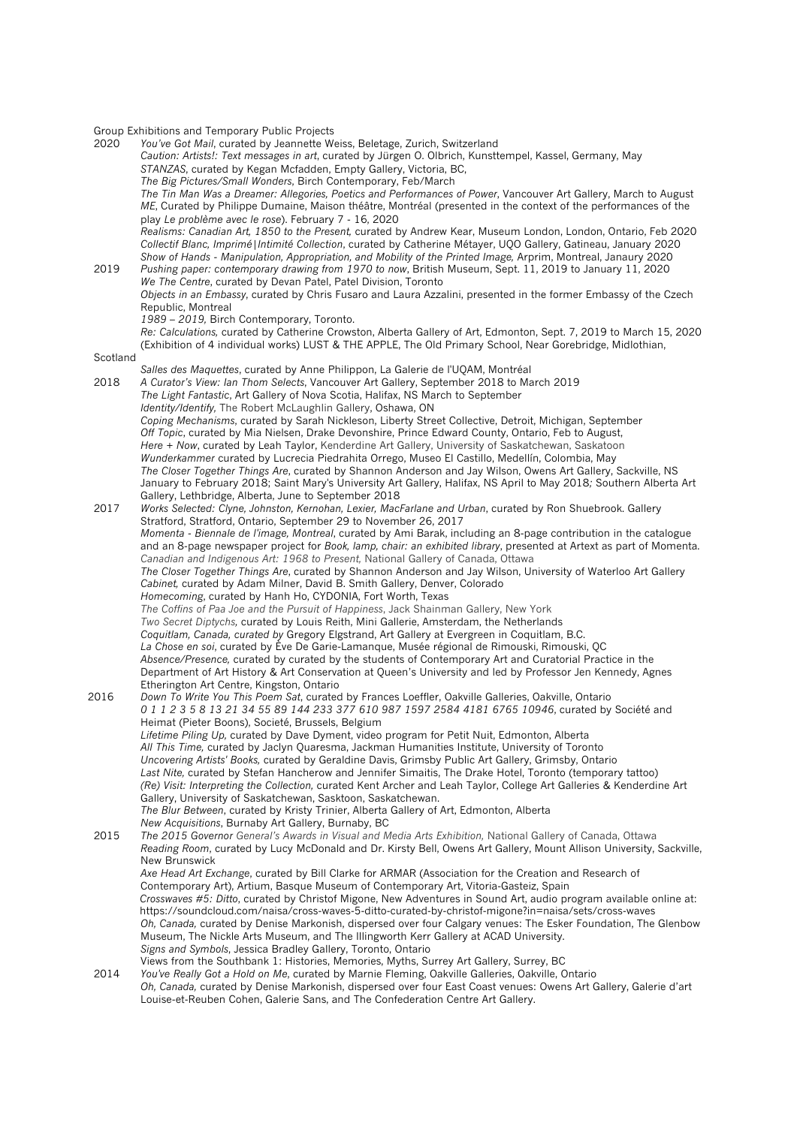Group Exhibitions and Temporary Public Projects

|          | Group Eximpliforms and Temporary Fublic Frojects                                                                     |
|----------|----------------------------------------------------------------------------------------------------------------------|
| 2020     | You've Got Mail, curated by Jeannette Weiss, Beletage, Zurich, Switzerland                                           |
|          | Caution: Artists!: Text messages in art, curated by Jürgen O. Olbrich, Kunsttempel, Kassel, Germany, May             |
|          | STANZAS, curated by Kegan Mcfadden, Empty Gallery, Victoria, BC,                                                     |
|          | The Big Pictures/Small Wonders, Birch Contemporary, Feb/March                                                        |
|          | The Tin Man Was a Dreamer: Allegories, Poetics and Performances of Power, Vancouver Art Gallery, March to August     |
|          | ME, Curated by Philippe Dumaine, Maison théâtre, Montréal (presented in the context of the performances of the       |
|          | play Le problème avec le rose). February 7 - 16, 2020                                                                |
|          |                                                                                                                      |
|          | Realisms: Canadian Art, 1850 to the Present, curated by Andrew Kear, Museum London, London, Ontario, Feb 2020        |
|          | Collectif Blanc, Imprimé   Intimité Collection, curated by Catherine Métayer, UQO Gallery, Gatineau, January 2020    |
|          | Show of Hands - Manipulation, Appropriation, and Mobility of the Printed Image, Arprim, Montreal, Janaury 2020       |
| 2019     | Pushing paper: contemporary drawing from 1970 to now, British Museum, Sept. 11, 2019 to January 11, 2020             |
|          | We The Centre, curated by Devan Patel, Patel Division, Toronto                                                       |
|          | Objects in an Embassy, curated by Chris Fusaro and Laura Azzalini, presented in the former Embassy of the Czech      |
|          | Republic, Montreal                                                                                                   |
|          | 1989 - 2019, Birch Contemporary, Toronto.                                                                            |
|          | Re: Calculations, curated by Catherine Crowston, Alberta Gallery of Art, Edmonton, Sept. 7, 2019 to March 15, 2020   |
|          | (Exhibition of 4 individual works) LUST & THE APPLE, The Old Primary School, Near Gorebridge, Midlothian,            |
| Scotland |                                                                                                                      |
|          |                                                                                                                      |
|          | Salles des Maquettes, curated by Anne Philippon, La Galerie de l'UQAM, Montréal                                      |
| 2018     | A Curator's View: Ian Thom Selects, Vancouver Art Gallery, September 2018 to March 2019                              |
|          | The Light Fantastic, Art Gallery of Nova Scotia, Halifax, NS March to September                                      |
|          | Identity/Identify, The Robert McLaughlin Gallery, Oshawa, ON                                                         |
|          | Coping Mechanisms, curated by Sarah Nickleson, Liberty Street Collective, Detroit, Michigan, September               |
|          | Off Topic, curated by Mia Nielsen, Drake Devonshire, Prince Edward County, Ontario, Feb to August,                   |
|          | Here + Now, curated by Leah Taylor, Kenderdine Art Gallery, University of Saskatchewan, Saskatoon                    |
|          | Wunderkammer curated by Lucrecia Piedrahita Orrego, Museo El Castillo, Medellín, Colombia, May                       |
|          | The Closer Together Things Are, curated by Shannon Anderson and Jay Wilson, Owens Art Gallery, Sackville, NS         |
|          | January to February 2018; Saint Mary's University Art Gallery, Halifax, NS April to May 2018; Southern Alberta Art   |
|          | Gallery, Lethbridge, Alberta, June to September 2018                                                                 |
| 2017     | Works Selected: Clyne, Johnston, Kernohan, Lexier, MacFarlane and Urban, curated by Ron Shuebrook. Gallery           |
|          |                                                                                                                      |
|          | Stratford, Stratford, Ontario, September 29 to November 26, 2017                                                     |
|          | Momenta - Biennale de l'image, Montreal, curated by Ami Barak, including an 8-page contribution in the catalogue     |
|          | and an 8-page newspaper project for Book, lamp, chair: an exhibited library, presented at Artext as part of Momenta. |
|          | Canadian and Indigenous Art: 1968 to Present, National Gallery of Canada, Ottawa                                     |
|          | The Closer Together Things Are, curated by Shannon Anderson and Jay Wilson, University of Waterloo Art Gallery       |
|          | Cabinet, curated by Adam Milner, David B. Smith Gallery, Denver, Colorado                                            |
|          | Homecoming, curated by Hanh Ho, CYDONIA, Fort Worth, Texas                                                           |
|          | The Coffins of Paa Joe and the Pursuit of Happiness, Jack Shainman Gallery, New York                                 |
|          | Two Secret Diptychs, curated by Louis Reith, Mini Gallerie, Amsterdam, the Netherlands                               |
|          | Coquitlam, Canada, curated by Gregory Elgstrand, Art Gallery at Evergreen in Coquitlam, B.C.                         |
|          | La Chose en soi, curated by Ève De Garie-Lamanque, Musée régional de Rimouski, Rimouski, QC                          |
|          | Absence/Presence, curated by curated by the students of Contemporary Art and Curatorial Practice in the              |
|          | Department of Art History & Art Conservation at Queen's University and led by Professor Jen Kennedy, Agnes           |
|          |                                                                                                                      |
|          | Etherington Art Centre, Kingston, Ontario                                                                            |
| 2016     | Down To Write You This Poem Sat, curated by Frances Loeffler, Oakville Galleries, Oakville, Ontario                  |
|          | 0 1 1 2 3 5 8 13 21 34 55 89 144 233 377 610 987 1597 2584 4181 6765 10946, curated by Société and                   |
|          | Heimat (Pieter Boons), Societé, Brussels, Belgium                                                                    |
|          | Lifetime Piling Up, curated by Dave Dyment, video program for Petit Nuit, Edmonton, Alberta                          |
|          | All This Time, curated by Jaclyn Quaresma, Jackman Humanities Institute, University of Toronto                       |
|          | Uncovering Artists' Books, curated by Geraldine Davis, Grimsby Public Art Gallery, Grimsby, Ontario                  |
|          | Last Nite, curated by Stefan Hancherow and Jennifer Simaitis, The Drake Hotel, Toronto (temporary tattoo)            |
|          | (Re) Visit: Interpreting the Collection, curated Kent Archer and Leah Taylor, College Art Galleries & Kenderdine Art |
|          | Gallery, University of Saskatchewan, Sasktoon, Saskatchewan.                                                         |
|          | The Blur Between, curated by Kristy Trinier, Alberta Gallery of Art, Edmonton, Alberta                               |
|          | New Acquisitions, Burnaby Art Gallery, Burnaby, BC                                                                   |
| 2015     | The 2015 Governor General's Awards in Visual and Media Arts Exhibition, National Gallery of Canada, Ottawa           |
|          |                                                                                                                      |
|          | Reading Room, curated by Lucy McDonald and Dr. Kirsty Bell, Owens Art Gallery, Mount Allison University, Sackville,  |
|          | New Brunswick                                                                                                        |
|          | Axe Head Art Exchange, curated by Bill Clarke for ARMAR (Association for the Creation and Research of                |
|          | Contemporary Art), Artium, Basque Museum of Contemporary Art, Vitoria-Gasteiz, Spain                                 |
|          | Crosswaves #5: Ditto, curated by Christof Migone, New Adventures in Sound Art, audio program available online at:    |
|          | https://soundcloud.com/naisa/cross-waves-5-ditto-curated-by-christof-migone?in=naisa/sets/cross-waves                |
|          | Oh, Canada, curated by Denise Markonish, dispersed over four Calgary venues: The Esker Foundation, The Glenbow       |
|          | Museum, The Nickle Arts Museum, and The Illingworth Kerr Gallery at ACAD University.                                 |
|          | Signs and Symbols, Jessica Bradley Gallery, Toronto, Ontario                                                         |
|          | Views from the Southbank 1: Histories, Memories, Myths, Surrey Art Gallery, Surrey, BC                               |
| 2014     | You've Really Got a Hold on Me, curated by Marnie Fleming, Oakville Galleries, Oakville, Ontario                     |
|          | Oh, Canada, curated by Denise Markonish, dispersed over four East Coast venues: Owens Art Gallery, Galerie d'art     |
|          | Louise-et-Reuben Cohen, Galerie Sans, and The Confederation Centre Art Gallery.                                      |
|          |                                                                                                                      |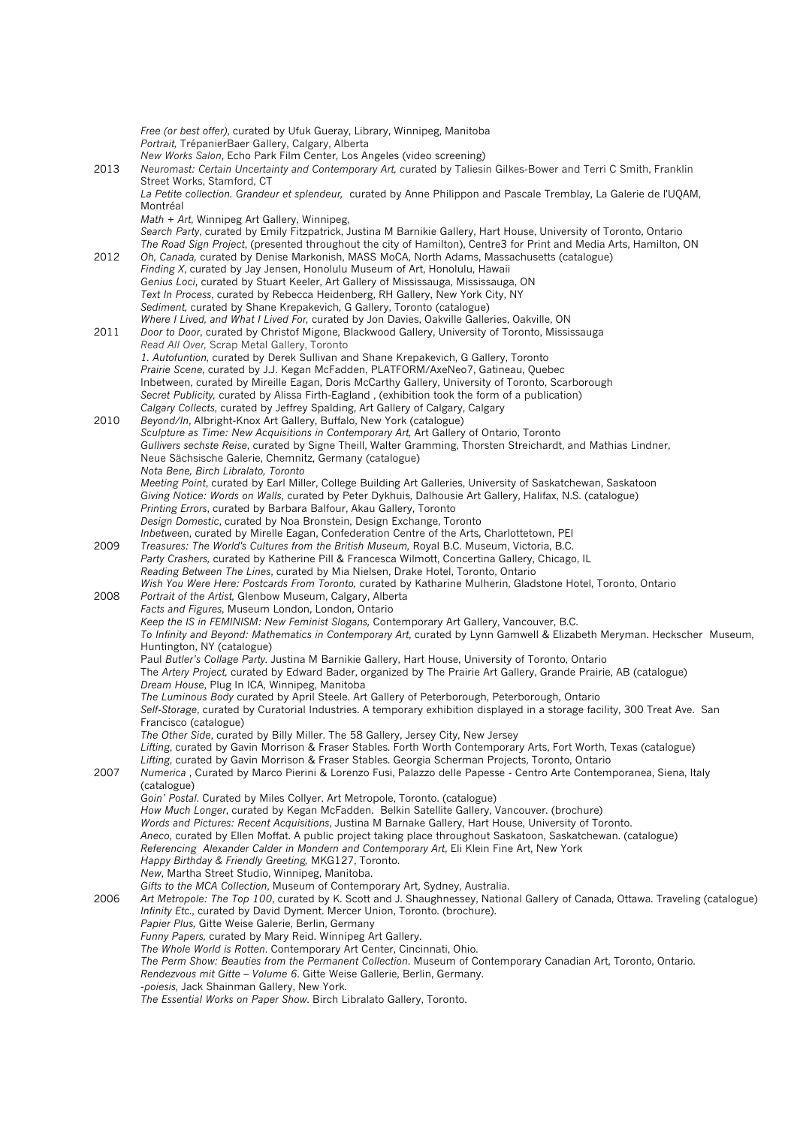*Free (or best offer)*, curated by Ufuk Gueray, Library, Winnipeg, Manitoba *Portrait,* TrépanierBaer Gallery, Calgary, Alberta *New Works Salon*, Echo Park Film Center, Los Angeles (video screening) 2013 *Neuromast: Certain Uncertainty and Contemporary Art, c*urated by Taliesin Gilkes-Bower and Terri C Smith, Franklin Street Works, Stamford, CT *La Petite collection. Grandeur et splendeur,* curated by Anne Philippon and Pascale Tremblay, La Galerie de l'UQAM, Montréal *Math + Art*, Winnipeg Art Gallery, Winnipeg, *Search Party*, curated by Emily Fitzpatrick, Justina M Barnikie Gallery, Hart House, University of Toronto, Ontario *The Road Sign Project*, (presented throughout the city of Hamilton), Centre3 for Print and Media Arts, Hamilton, ON 2012 *Oh, Canada,* curated by Denise Markonish, MASS MoCA, North Adams, Massachusetts (catalogue) *Finding X*, curated by Jay Jensen, Honolulu Museum of Art, Honolulu, Hawaii *Genius Loci*, curated by Stuart Keeler, Art Gallery of Mississauga, Mississauga, ON *Text In Process*, curated by Rebecca Heidenberg, RH Gallery, New York City, NY *Sediment,* curated by Shane Krepakevich, G Gallery, Toronto (catalogue) *Where I Lived, and What I Lived For,* curated by Jon Davies, Oakville Galleries, Oakville, ON 2011 *Door to Door*, curated by Christof Migone, Blackwood Gallery, University of Toronto, Mississauga *Read All Over,* Scrap Metal Gallery, Toronto *1. Autofuntion,* curated by Derek Sullivan and Shane Krepakevich, G Gallery, Toronto *Prairie Scene*, curated by J.J. Kegan McFadden, PLATFORM/AxeNeo7, Gatineau, Quebec Inbetween, curated by Mireille Eagan, Doris McCarthy Gallery, University of Toronto, Scarborough *Secret Publicity,* curated by Alissa Firth-Eagland , (exhibition took the form of a publication) *Calgary Collects*, curated by Jeffrey Spalding, Art Gallery of Calgary, Calgary 2010 *Beyond/In*, Albright-Knox Art Gallery, Buffalo, New York (catalogue) *Sculpture as Time: New Acquisitions in Contemporary Art,* Art Gallery of Ontario, Toronto *Gullivers sechste Reise*, curated by Signe Theill, Walter Gramming, Thorsten Streichardt, and Mathias Lindner, Neue Sächsische Galerie, Chemnitz, Germany (catalogue) *Nota Bene, Birch Libralato, Toronto Meeting Point*, curated by Earl Miller, College Building Art Galleries, University of Saskatchewan, Saskatoon *Giving Notice: Words on Walls*, curated by Peter Dykhuis, Dalhousie Art Gallery, Halifax, N.S. (catalogue) *Printing Errors*, curated by Barbara Balfour, Akau Gallery, Toronto *Design Domestic*, curated by Noa Bronstein, Design Exchange, Toronto *Inbetwee*n, curated by Mirelle Eagan, Confederation Centre of the Arts, Charlottetown, PEI 2009 *Treasures: The World's Cultures from the British Museum,* Royal B.C. Museum, Victoria, B.C. *Party Crashers,* curated by Katherine Pill & Francesca Wilmott, Concertina Gallery, Chicago, IL *Reading Between The Lines*, curated by Mia Nielsen, Drake Hotel, Toronto, Ontario *Wish You Were Here: Postcards From Toronto,* curated by Katharine Mulherin, Gladstone Hotel, Toronto, Ontario 2008 *Portrait of the Artist,* Glenbow Museum, Calgary, Alberta *Facts and Figures*, Museum London, London, Ontario *Keep the IS in FEMINISM: New Feminist Slogans,* Contemporary Art Gallery, Vancouver, B.C. *To Infinity and Beyond: Mathematics in Contemporary Art*, curated by Lynn Gamwell & Elizabeth Meryman. Heckscher Museum, Huntington, NY (catalogue) Paul *Butler's Collage Party.* Justina M Barnikie Gallery, Hart House, University of Toronto, Ontario The *Artery Project,* curated by Edward Bader, organized by The Prairie Art Gallery, Grande Prairie, AB (catalogue) *Dream House*, Plug In ICA, Winnipeg, Manitoba *The Luminous Body* curated by April Steele. Art Gallery of Peterborough, Peterborough, Ontario *Self-Storage*, curated by Curatorial Industries. A temporary exhibition displayed in a storage facility, 300 Treat Ave. San Francisco (catalogue) *The Other Side*, curated by Billy Miller. The 58 Gallery, Jersey City, New Jersey *Lifting*, curated by Gavin Morrison & Fraser Stables. Forth Worth Contemporary Arts, Fort Worth, Texas (catalogue) *Lifting*, curated by Gavin Morrison & Fraser Stables. Georgia Scherman Projects, Toronto, Ontario 2007 *Numerica* , Curated by Marco Pierini & Lorenzo Fusi, Palazzo delle Papesse - Centro Arte Contemporanea, Siena, Italy (catalogue) *Goin' Postal*. Curated by Miles Collyer. Art Metropole, Toronto. (catalogue) *How Much Longer*, curated by Kegan McFadden. Belkin Satellite Gallery, Vancouver. (brochure) *Words and Pictures: Recent Acquisitions*, Justina M Barnake Gallery, Hart House, University of Toronto. *Aneco*, curated by Ellen Moffat. A public project taking place throughout Saskatoon, Saskatchewan. (catalogue) *Referencing Alexander Calder in Mondern and Contemporary Art*, Eli Klein Fine Art, New York *Happy Birthday & Friendly Greeting,* MKG127, Toronto. *New*, Martha Street Studio, Winnipeg, Manitoba. *Gifts to the MCA Collection*, Museum of Contemporary Art, Sydney, Australia. 2006 *Art Metropole: The Top 100*, curated by K. Scott and J. Shaughnessey, National Gallery of Canada, Ottawa. Traveling (catalogue) *Infinity Etc.*, curated by David Dyment. Mercer Union, Toronto. (brochure). *Papier Plus,* Gitte Weise Galerie, Berlin, Germany *Funny Papers,* curated by Mary Reid. Winnipeg Art Gallery. *The Whole World is Rotten*. Contemporary Art Center, Cincinnati, Ohio. *The Perm Show: Beauties from the Permanent Collection*. Museum of Contemporary Canadian Art, Toronto, Ontario. *Rendezvous mit Gitte – Volume 6*. Gitte Weise Gallerie, Berlin, Germany. -*poiesis,* Jack Shainman Gallery, New York. *The Essential Works on Paper Show*. Birch Libralato Gallery, Toronto.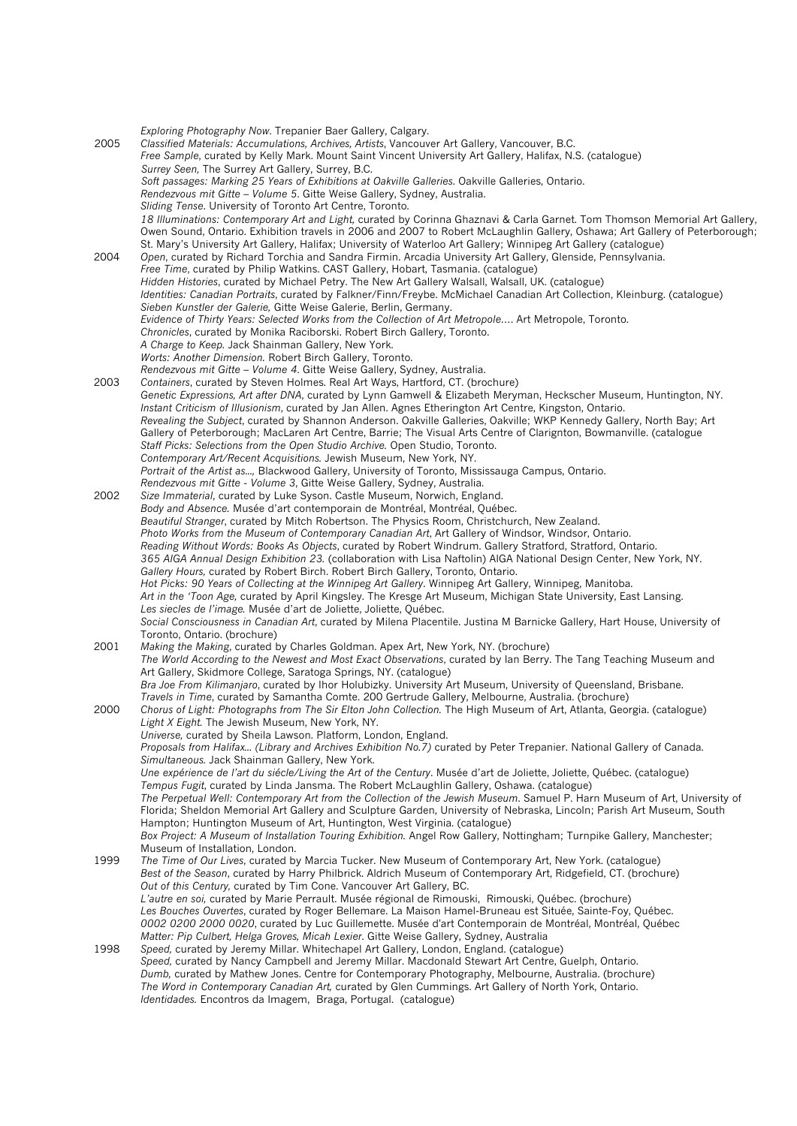*Exploring Photography Now*. Trepanier Baer Gallery, Calgary. 2005 *Classified Materials: Accumulations, Archives, Artists*, Vancouver Art Gallery, Vancouver, B.C. *Free Sample*, curated by Kelly Mark. Mount Saint Vincent University Art Gallery, Halifax, N.S. (catalogue) *Surrey Seen,* The Surrey Art Gallery, Surrey, B.C. *Soft passages: Marking 25 Years of Exhibitions at Oakville Galleries*. Oakville Galleries, Ontario. *Rendezvous mit Gitte – Volume 5*. Gitte Weise Gallery, Sydney, Australia. *Sliding Tense*. University of Toronto Art Centre, Toronto. *18 Illuminations: Contemporary Art and Light,* curated by Corinna Ghaznavi & Carla Garnet. Tom Thomson Memorial Art Gallery, Owen Sound, Ontario. Exhibition travels in 2006 and 2007 to Robert McLaughlin Gallery, Oshawa; Art Gallery of Peterborough; St. Mary's University Art Gallery, Halifax; University of Waterloo Art Gallery; Winnipeg Art Gallery (catalogue) 2004 *Open*, curated by Richard Torchia and Sandra Firmin. Arcadia University Art Gallery, Glenside, Pennsylvania. *Free Time*, curated by Philip Watkins. CAST Gallery, Hobart, Tasmania. (catalogue) *Hidden Histories*, curated by Michael Petry. The New Art Gallery Walsall, Walsall, UK. (catalogue) *Identities: Canadian Portraits*, curated by Falkner/Finn/Freybe. McMichael Canadian Art Collection, Kleinburg. (catalogue) *Sieben Kunstler der Galerie,* Gitte Weise Galerie, Berlin, Germany. *Evidence of Thirty Years: Selected Works from the Collection of Art Metropole…*. Art Metropole, Toronto. *Chronicles*, curated by Monika Raciborski. Robert Birch Gallery, Toronto. *A Charge to Keep.* Jack Shainman Gallery, New York. *Worts: Another Dimension.* Robert Birch Gallery, Toronto. *Rendezvous mit Gitte – Volume 4*. Gitte Weise Gallery, Sydney, Australia. 2003 *Containers*, curated by Steven Holmes. Real Art Ways, Hartford, CT. (brochure) *Genetic Expressions, Art after DNA*, curated by Lynn Gamwell & Elizabeth Meryman, Heckscher Museum, Huntington, NY. *Instant Criticism of Illusionism*, curated by Jan Allen. Agnes Etherington Art Centre, Kingston, Ontario. *Revealing the Subject*, curated by Shannon Anderson. Oakville Galleries, Oakville; WKP Kennedy Gallery, North Bay; Art Gallery of Peterborough; MacLaren Art Centre, Barrie; The Visual Arts Centre of Clarignton, Bowmanville. (catalogue *Staff Picks: Selections from the Open Studio Archive.* Open Studio, Toronto. *Contemporary Art/Recent Acquisitions.* Jewish Museum, New York, NY. *Portrait of the Artist as...,* Blackwood Gallery, University of Toronto, Mississauga Campus, Ontario. *Rendezvous mit Gitte - Volume 3*, Gitte Weise Gallery, Sydney, Australia. 2002 *Size Immaterial*, curated by Luke Syson. Castle Museum, Norwich, England. *Body and Absence.* Musée d'art contemporain de Montréal, Montréal, Québec. *Beautiful Stranger*, curated by Mitch Robertson. The Physics Room, Christchurch, New Zealand. *Photo Works from the Museum of Contemporary Canadian Art*, Art Gallery of Windsor, Windsor, Ontario. *Reading Without Words: Books As Objects*, curated by Robert Windrum. Gallery Stratford, Stratford, Ontario. *365 AIGA Annual Design Exhibition 23.* (collaboration with Lisa Naftolin) AIGA National Design Center, New York, NY. *Gallery Hours,* curated by Robert Birch. Robert Birch Gallery, Toronto, Ontario. *Hot Picks: 90 Years of Collecting at the Winnipeg Art Gallery*. Winnipeg Art Gallery, Winnipeg, Manitoba. *Art in the 'Toon Age,* curated by April Kingsley. The Kresge Art Museum, Michigan State University, East Lansing. *Les siecles de l'image.* Musée d'art de Joliette, Joliette, Québec. *Social Consciousness in Canadian Art*, curated by Milena Placentile. Justina M Barnicke Gallery, Hart House, University of Toronto, Ontario. (brochure) 2001 *Making the Making*, curated by Charles Goldman. Apex Art, New York, NY. (brochure) *The World According to the Newest and Most Exact Observations*, curated by Ian Berry. The Tang Teaching Museum and Art Gallery, Skidmore College, Saratoga Springs, NY. (catalogue) *Bra Joe From Kilimanjaro*, curated by Ihor Holubizky. University Art Museum, University of Queensland, Brisbane. *Travels in Time*, curated by Samantha Comte. 200 Gertrude Gallery, Melbourne, Australia. (brochure) 2000 *Chorus of Light: Photographs from The Sir Elton John Collection.* The High Museum of Art, Atlanta, Georgia. (catalogue) *Light X Eight.* The Jewish Museum, New York, NY. *Universe,* curated by Sheila Lawson. Platform, London, England. *Proposals from Halifax... (Library and Archives Exhibition No.7)* curated by Peter Trepanier. National Gallery of Canada. *Simultaneous.* Jack Shainman Gallery, New York. *Une expérience de l'art du siécle/Living the Art of the Century*. Musée d'art de Joliette, Joliette, Québec. (catalogue) *Tempus Fugit*, curated by Linda Jansma. The Robert McLaughlin Gallery, Oshawa. (catalogue) *The Perpetual Well: Contemporary Art from the Collection of the Jewish Museum*. Samuel P. Harn Museum of Art, University of Florida; Sheldon Memorial Art Gallery and Sculpture Garden, University of Nebraska, Lincoln; Parish Art Museum, South Hampton; Huntington Museum of Art, Huntington, West Virginia. (catalogue) *Box Project: A Museum of Installation Touring Exhibition.* Angel Row Gallery, Nottingham; Turnpike Gallery, Manchester; Museum of Installation, London. 1999 *The Time of Our Lives*, curated by Marcia Tucker. New Museum of Contemporary Art, New York. (catalogue) *Best of the Season*, curated by Harry Philbrick. Aldrich Museum of Contemporary Art, Ridgefield, CT. (brochure) *Out of this Century,* curated by Tim Cone. Vancouver Art Gallery, BC. *L'autre en soi,* curated by Marie Perrault. Musée régional de Rimouski, Rimouski, Québec. (brochure) *Les Bouches Ouvertes*, curated by Roger Bellemare. La Maison Hamel-Bruneau est Située, Sainte-Foy, Québec. *0002 0200 2000 0020*, curated by Luc Guillemette. Musée d'art Contemporain de Montréal, Montréal, Québec *Matter: Pip Culbert, Helga Groves, Micah Lexier*. Gitte Weise Gallery, Sydney, Australia 1998 *Speed,* curated by Jeremy Millar. Whitechapel Art Gallery, London, England. (catalogue) *Speed,* curated by Nancy Campbell and Jeremy Millar. Macdonald Stewart Art Centre, Guelph, Ontario. *Dumb,* curated by Mathew Jones. Centre for Contemporary Photography, Melbourne, Australia. (brochure) *The Word in Contemporary Canadian Art,* curated by Glen Cummings. Art Gallery of North York, Ontario. *Identidades.* Encontros da Imagem, Braga, Portugal. (catalogue)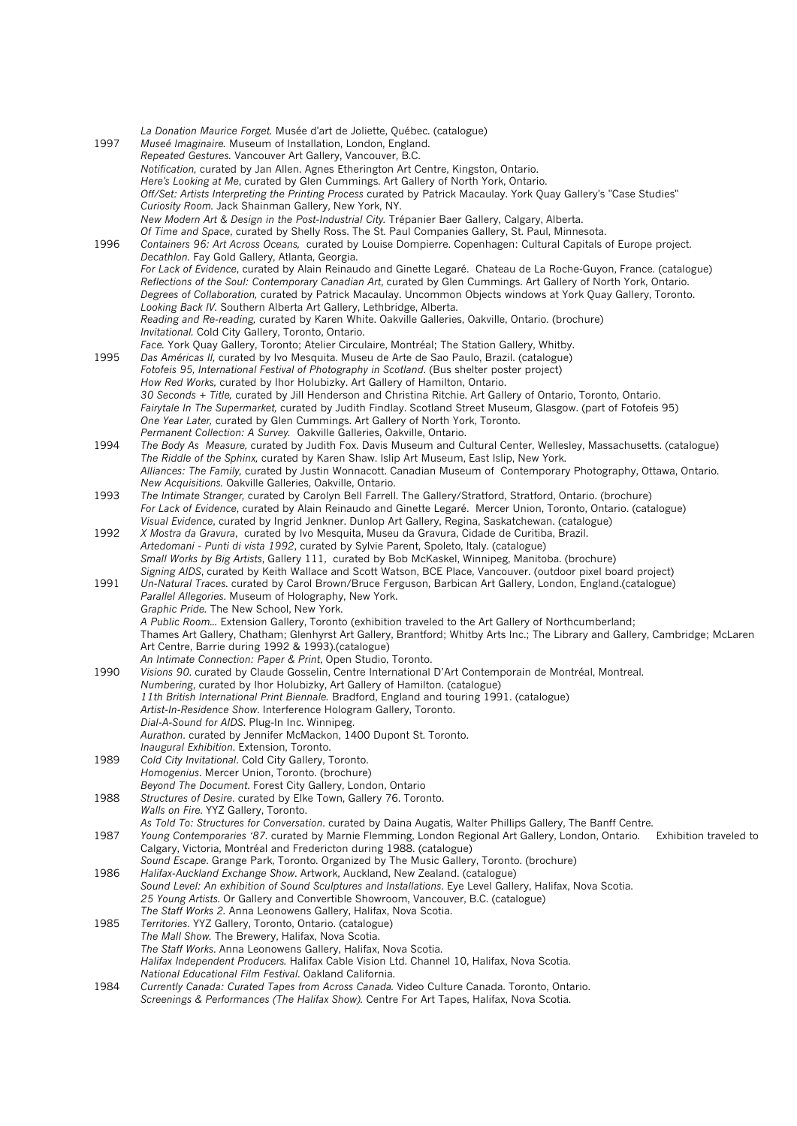*La Donation Maurice Forget.* Musée d'art de Joliette, Québec. (catalogue) 1997 *Museé Imaginaire.* Museum of Installation, London, England. *Repeated Gestures.* Vancouver Art Gallery, Vancouver, B.C. *Notification,* curated by Jan Allen. Agnes Etherington Art Centre, Kingston, Ontario. *Here's Looking at Me*, curated by Glen Cummings. Art Gallery of North York, Ontario. *Off/Set: Artists Interpreting the Printing Process* curated by Patrick Macaulay. York Quay Gallery's "Case Studies" *Curiosity Room.* Jack Shainman Gallery, New York, NY. *New Modern Art & Design in the Post-Industrial City.* Trépanier Baer Gallery, Calgary, Alberta. *Of Time and Space*, curated by Shelly Ross. The St. Paul Companies Gallery, St. Paul, Minnesota. 1996 *Containers 96: Art Across Oceans,* curated by Louise Dompierre. Copenhagen: Cultural Capitals of Europe project. *Decathlon.* Fay Gold Gallery, Atlanta, Georgia. *For Lack of Evidence*, curated by Alain Reinaudo and Ginette Legaré. Chateau de La Roche-Guyon, France. (catalogue) *Reflections of the Soul: Contemporary Canadian Art*, curated by Glen Cummings. Art Gallery of North York, Ontario. *Degrees of Collaboration,* curated by Patrick Macaulay. Uncommon Objects windows at York Quay Gallery, Toronto. *Looking Back IV.* Southern Alberta Art Gallery, Lethbridge, Alberta. *Reading and Re-reading,* curated by Karen White. Oakville Galleries, Oakville, Ontario. (brochure) *Invitational.* Cold City Gallery, Toronto, Ontario. *Face.* York Quay Gallery, Toronto; Atelier Circulaire, Montréal; The Station Gallery, Whitby. 1995 *Das Américas II,* curated by Ivo Mesquita. Museu de Arte de Sao Paulo, Brazil. (catalogue) *Fotofeis 95, International Festival of Photography in Scotland*. (Bus shelter poster project) *How Red Works,* curated by Ihor Holubizky. Art Gallery of Hamilton, Ontario. *30 Seconds + Title,* curated by Jill Henderson and Christina Ritchie. Art Gallery of Ontario, Toronto, Ontario. *Fairytale In The Supermarket,* curated by Judith Findlay. Scotland Street Museum, Glasgow. (part of Fotofeis 95) *One Year Later,* curated by Glen Cummings. Art Gallery of North York, Toronto. *Permanent Collection: A Survey.* Oakville Galleries, Oakville, Ontario. 1994 *The Body As Measure,* curated by Judith Fox. Davis Museum and Cultural Center, Wellesley, Massachusetts. (catalogue) *The Riddle of the Sphinx,* curated by Karen Shaw. Islip Art Museum, East Islip, New York. *Alliances: The Family,* curated by Justin Wonnacott. Canadian Museum of Contemporary Photography, Ottawa, Ontario. *New Acquisitions.* Oakville Galleries, Oakville, Ontario. 1993 *The Intimate Stranger,* curated by Carolyn Bell Farrell. The Gallery/Stratford, Stratford, Ontario. (brochure) *For Lack of Evidence*, curated by Alain Reinaudo and Ginette Legaré. Mercer Union, Toronto, Ontario. (catalogue) *Visual Evidence*, curated by Ingrid Jenkner. Dunlop Art Gallery, Regina, Saskatchewan. (catalogue) 1992 *X Mostra da Gravura*, curated by Ivo Mesquita, Museu da Gravura, Cidade de Curitiba, Brazil. *Artedomani - Punti di vista 1992*, curated by Sylvie Parent, Spoleto, Italy. (catalogue) *Small Works by Big Artists*, Gallery 111, curated by Bob McKaskel, Winnipeg, Manitoba. (brochure) *Signing AIDS*, curated by Keith Wallace and Scott Watson, BCE Place, Vancouver. (outdoor pixel board project) 1991 *Un-Natural Traces*. curated by Carol Brown/Bruce Ferguson, Barbican Art Gallery, London, England.(catalogue) *Parallel Allegories*. Museum of Holography, New York. *Graphic Pride.* The New School, New York. *A Public Room...* Extension Gallery, Toronto (exhibition traveled to the Art Gallery of Northcumberland; Thames Art Gallery, Chatham; Glenhyrst Art Gallery, Brantford; Whitby Arts Inc.; The Library and Gallery, Cambridge; McLaren Art Centre, Barrie during 1992 & 1993).(catalogue) *An Intimate Connection: Paper & Print*, Open Studio, Toronto. 1990 *Visions 90*. curated by Claude Gosselin, Centre International D'Art Contemporain de Montréal, Montreal. *Numbering*, curated by Ihor Holubizky, Art Gallery of Hamilton. (catalogue) *11th British International Print Biennale.* Bradford, England and touring 1991. (catalogue) *Artist-In-Residence Show*. Interference Hologram Gallery, Toronto. *Dial-A-Sound for AIDS*. Plug-In Inc. Winnipeg. *Aurathon*. curated by Jennifer McMackon, 1400 Dupont St. Toronto. *Inaugural Exhibition*. Extension, Toronto. 1989 *Cold City Invitational*. Cold City Gallery, Toronto. *Homogenius*. Mercer Union, Toronto. (brochure) *Beyond The Document*. Forest City Gallery, London, Ontario 1988 *Structures of Desire*. curated by Elke Town, Gallery 76. Toronto. *Walls on Fire*. YYZ Gallery, Toronto. *As Told To: Structures for Conversation*. curated by Daina Augatis, Walter Phillips Gallery, The Banff Centre. 1987 *Young Contemporaries '87.* curated by Marnie Flemming, London Regional Art Gallery, London, Ontario. Exhibition traveled to Calgary, Victoria, Montréal and Fredericton during 1988. (catalogue) *Sound Escape*. Grange Park, Toronto. Organized by The Music Gallery, Toronto. (brochure) 1986 *Halifax-Auckland Exchange Show*. Artwork, Auckland, New Zealand. (catalogue) *Sound Level: An exhibition of Sound Sculptures and Installations*. Eye Level Gallery, Halifax, Nova Scotia. *25 Young Artists*. Or Gallery and Convertible Showroom, Vancouver, B.C. (catalogue) *The Staff Works 2.* Anna Leonowens Gallery, Halifax, Nova Scotia. 1985 *Territories*. YYZ Gallery, Toronto, Ontario. (catalogue) *The Mall Show.* The Brewery, Halifax, Nova Scotia. *The Staff Works*. Anna Leonowens Gallery, Halifax, Nova Scotia. *Halifax Independent Producers.* Halifax Cable Vision Ltd. Channel 10, Halifax, Nova Scotia. *National Educational Film Festival*. Oakland California. 1984 *Currently Canada: Curated Tapes from Across Canada.* Video Culture Canada. Toronto, Ontario. *Screenings & Performances (The Halifax Show).* Centre For Art Tapes, Halifax, Nova Scotia.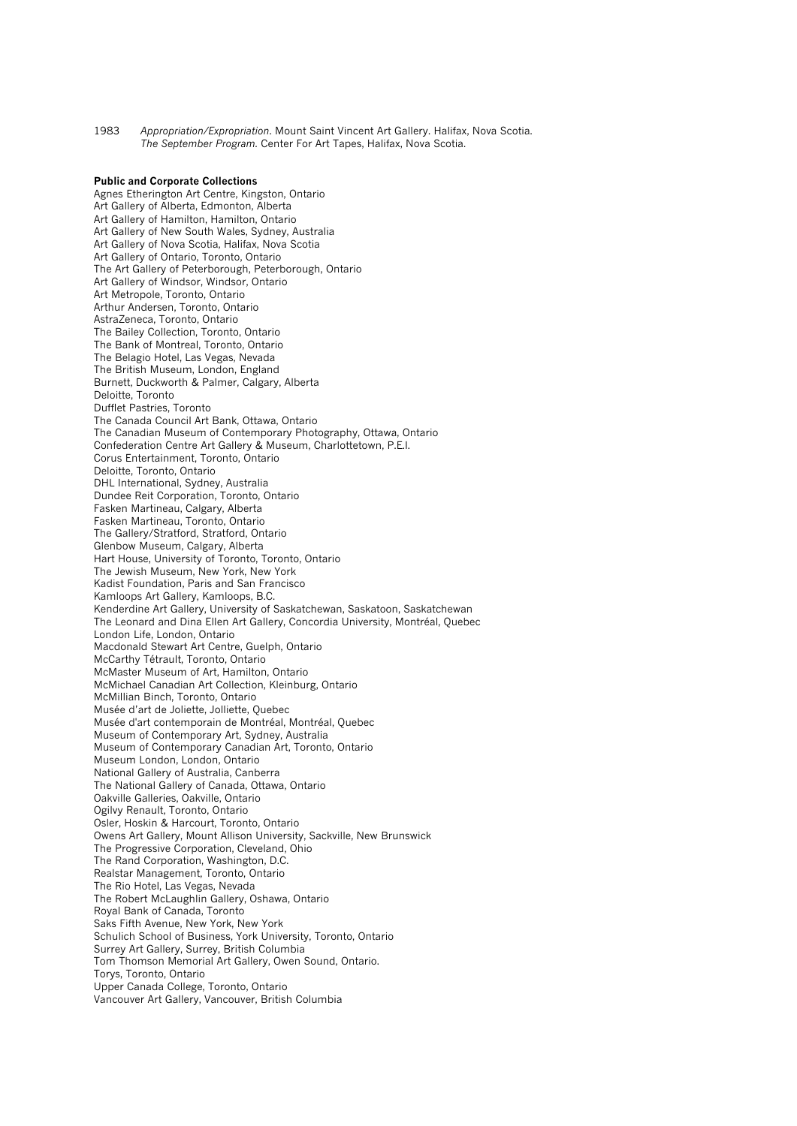1983 *Appropriation/Expropriation*. Mount Saint Vincent Art Gallery. Halifax, Nova Scotia. *The September Program.* Center For Art Tapes, Halifax, Nova Scotia.

# **Public and Corporate Collections**

Agnes Etherington Art Centre, Kingston, Ontario Art Gallery of Alberta, Edmonton, Alberta Art Gallery of Hamilton, Hamilton, Ontario Art Gallery of New South Wales, Sydney, Australia Art Gallery of Nova Scotia, Halifax, Nova Scotia Art Gallery of Ontario, Toronto, Ontario The Art Gallery of Peterborough, Peterborough, Ontario Art Gallery of Windsor, Windsor, Ontario Art Metropole, Toronto, Ontario Arthur Andersen, Toronto, Ontario AstraZeneca, Toronto, Ontario The Bailey Collection, Toronto, Ontario The Bank of Montreal, Toronto, Ontario The Belagio Hotel, Las Vegas, Nevada The British Museum, London, England Burnett, Duckworth & Palmer, Calgary, Alberta Deloitte, Toronto Dufflet Pastries, Toronto The Canada Council Art Bank, Ottawa, Ontario The Canadian Museum of Contemporary Photography, Ottawa, Ontario Confederation Centre Art Gallery & Museum, Charlottetown, P.E.I. Corus Entertainment, Toronto, Ontario Deloitte, Toronto, Ontario DHL International, Sydney, Australia Dundee Reit Corporation, Toronto, Ontario Fasken Martineau, Calgary, Alberta Fasken Martineau, Toronto, Ontario The Gallery/Stratford, Stratford, Ontario Glenbow Museum, Calgary, Alberta Hart House, University of Toronto, Toronto, Ontario The Jewish Museum, New York, New York Kadist Foundation, Paris and San Francisco Kamloops Art Gallery, Kamloops, B.C. Kenderdine Art Gallery, University of Saskatchewan, Saskatoon, Saskatchewan The Leonard and Dina Ellen Art Gallery, Concordia University, Montréal, Quebec London Life, London, Ontario Macdonald Stewart Art Centre, Guelph, Ontario McCarthy Tétrault, Toronto, Ontario McMaster Museum of Art, Hamilton, Ontario McMichael Canadian Art Collection, Kleinburg, Ontario McMillian Binch, Toronto, Ontario Musée d'art de Joliette, Jolliette, Quebec Musée d'art contemporain de Montréal, Montréal, Quebec Museum of Contemporary Art, Sydney, Australia Museum of Contemporary Canadian Art, Toronto, Ontario Museum London, London, Ontario National Gallery of Australia, Canberra The National Gallery of Canada, Ottawa, Ontario Oakville Galleries, Oakville, Ontario Ogilvy Renault, Toronto, Ontario Osler, Hoskin & Harcourt, Toronto, Ontario Owens Art Gallery, Mount Allison University, Sackville, New Brunswick The Progressive Corporation, Cleveland, Ohio The Rand Corporation, Washington, D.C. Realstar Management, Toronto, Ontario The Rio Hotel, Las Vegas, Nevada The Robert McLaughlin Gallery, Oshawa, Ontario Royal Bank of Canada, Toronto Saks Fifth Avenue, New York, New York Schulich School of Business, York University, Toronto, Ontario Surrey Art Gallery, Surrey, British Columbia Tom Thomson Memorial Art Gallery, Owen Sound, Ontario. Torys, Toronto, Ontario Upper Canada College, Toronto, Ontario Vancouver Art Gallery, Vancouver, British Columbia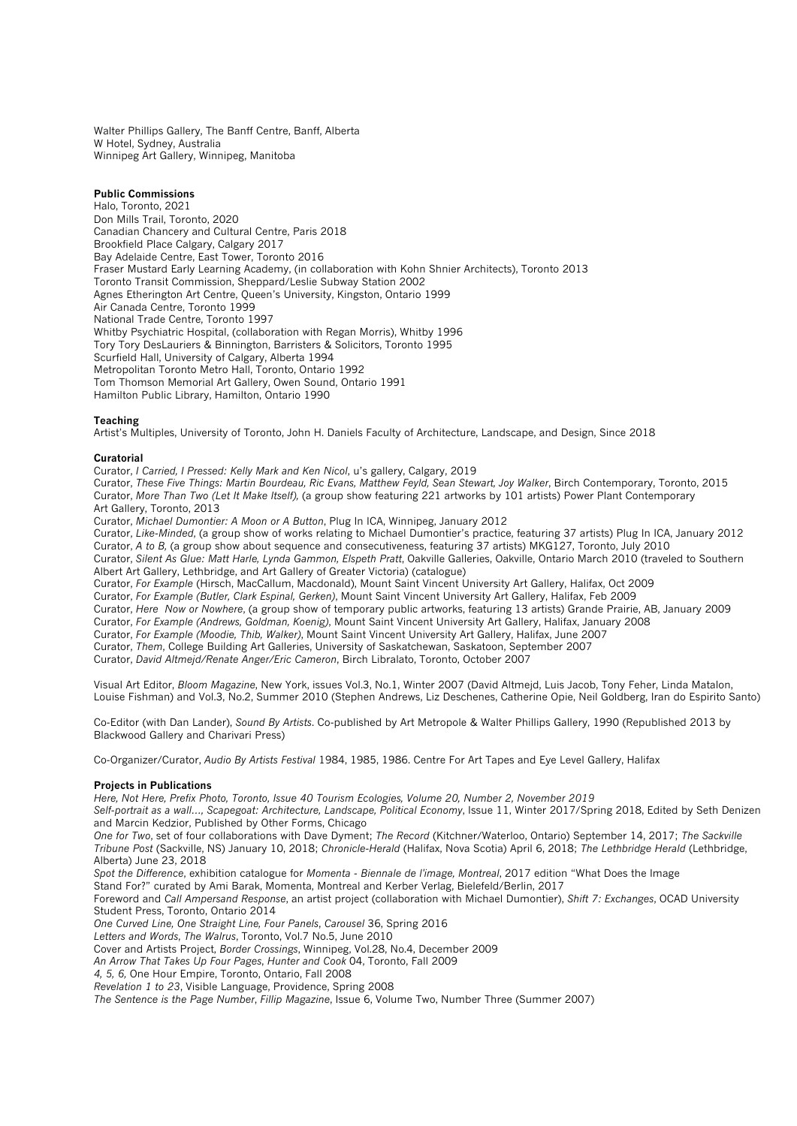Walter Phillips Gallery, The Banff Centre, Banff, Alberta W Hotel, Sydney, Australia Winnipeg Art Gallery, Winnipeg, Manitoba

# **Public Commissions**

Halo, Toronto, 2021 Don Mills Trail, Toronto, 2020 Canadian Chancery and Cultural Centre, Paris 2018 Brookfield Place Calgary, Calgary 2017 Bay Adelaide Centre, East Tower, Toronto 2016 Fraser Mustard Early Learning Academy, (in collaboration with Kohn Shnier Architects), Toronto 2013 Toronto Transit Commission, Sheppard/Leslie Subway Station 2002 Agnes Etherington Art Centre, Queen's University, Kingston, Ontario 1999 Air Canada Centre, Toronto 1999 National Trade Centre, Toronto 1997 Whitby Psychiatric Hospital, (collaboration with Regan Morris), Whitby 1996 Tory Tory DesLauriers & Binnington, Barristers & Solicitors, Toronto 1995 Scurfield Hall, University of Calgary, Alberta 1994 Metropolitan Toronto Metro Hall, Toronto, Ontario 1992 Tom Thomson Memorial Art Gallery, Owen Sound, Ontario 1991 Hamilton Public Library, Hamilton, Ontario 1990

# **Teaching**

Artist's Multiples, University of Toronto, John H. Daniels Faculty of Architecture, Landscape, and Design, Since 2018

#### **Curatorial**

Curator, *I Carried, I Pressed: Kelly Mark and Ken Nicol*, u's gallery, Calgary, 2019

Curator, *These Five Things: Martin Bourdeau, Ric Evans, Matthew Feyld, Sean Stewart, Joy Walker*, Birch Contemporary, Toronto, 2015 Curator, *More Than Two (Let It Make Itself),* (a group show featuring 221 artworks by 101 artists) Power Plant Contemporary Art Gallery, Toronto, 2013

Curator, *Michael Dumontier: A Moon or A Button*, Plug In ICA, Winnipeg, January 2012

Curator, *Like-Minded*, (a group show of works relating to Michael Dumontier's practice, featuring 37 artists) Plug In ICA, January 2012 Curator, *A to B,* (a group show about sequence and consecutiveness, featuring 37 artists) MKG127, Toronto, July 2010 Curator, *Silent As Glue: Matt Harle, Lynda Gammon, Elspeth Pratt*, Oakville Galleries, Oakville, Ontario March 2010 (traveled to Southern Albert Art Gallery, Lethbridge, and Art Gallery of Greater Victoria) (catalogue)

Curator, *For Example* (Hirsch, MacCallum, Macdonald), Mount Saint Vincent University Art Gallery, Halifax, Oct 2009

Curator, *For Example (Butler, Clark Espinal, Gerken)*, Mount Saint Vincent University Art Gallery, Halifax, Feb 2009

Curator, *Here Now or Nowhere*, (a group show of temporary public artworks, featuring 13 artists) Grande Prairie, AB, January 2009 Curator, *For Example (Andrews, Goldman, Koenig)*, Mount Saint Vincent University Art Gallery, Halifax, January 2008

Curator, *For Example (Moodie, Thib, Walker)*, Mount Saint Vincent University Art Gallery, Halifax, June 2007

Curator, *Them*, College Building Art Galleries, University of Saskatchewan, Saskatoon, September 2007

Curator, *David Altmejd/Renate Anger/Eric Cameron*, Birch Libralato, Toronto, October 2007

Visual Art Editor, *Bloom Magazine*, New York, issues Vol.3, No.1, Winter 2007 (David Altmejd, Luis Jacob, Tony Feher, Linda Matalon, Louise Fishman) and Vol.3, No.2, Summer 2010 (Stephen Andrews, Liz Deschenes, Catherine Opie, Neil Goldberg, Iran do Espirito Santo)

Co-Editor (with Dan Lander), *Sound By Artists*. Co-published by Art Metropole & Walter Phillips Gallery, 1990 (Republished 2013 by Blackwood Gallery and Charivari Press)

Co-Organizer/Curator, *Audio By Artists Festival* 1984, 1985, 1986. Centre For Art Tapes and Eye Level Gallery, Halifax

### **Projects in Publications**

*Here, Not Here, Prefix Photo, Toronto, Issue 40 Tourism Ecologies, Volume 20, Number 2, November 2019*

*Self-portrait as a wall…, Scapegoat: Architecture, Landscape, Political Economy*, Issue 11, Winter 2017/Spring 2018, Edited by Seth Denizen and Marcin Kedzior, Published by Other Forms, Chicago

*One for Two*, set of four collaborations with Dave Dyment; *The Record* (Kitchner/Waterloo, Ontario) September 14, 2017; *The Sackville Tribune Post* (Sackville, NS) January 10, 2018; *Chronicle-Herald* (Halifax, Nova Scotia) April 6, 2018; *The Lethbridge Herald* (Lethbridge, Alberta) June 23, 2018

*Spot the Difference*, exhibition catalogue for *Momenta - Biennale de l'image, Montreal*, 2017 edition "What Does the Image

Stand For?" curated by Ami Barak, Momenta, Montreal and Kerber Verlag, Bielefeld/Berlin, 2017

Foreword and *Call Ampersand Response*, an artist project (collaboration with Michael Dumontier), *Shift 7: Exchanges*, OCAD University Student Press, Toronto, Ontario 2014

*One Curved Line, One Straight Line, Four Panels*, *Carousel* 36, Spring 2016

*Letters and Words*, *The Walrus*, Toronto, Vol.7 No.5, June 2010

Cover and Artists Project, *Border Crossings*, Winnipeg, Vol.28, No.4, December 2009

*An Arrow That Takes Up Four Pages*, *Hunter and Cook* 04, Toronto, Fall 2009

*4, 5, 6,* One Hour Empire, Toronto, Ontario, Fall 2008

*Revelation 1 to 23*, Visible Language, Providence, Spring 2008

*The Sentence is the Page Number*, *Fillip Magazine*, Issue 6, Volume Two, Number Three (Summer 2007)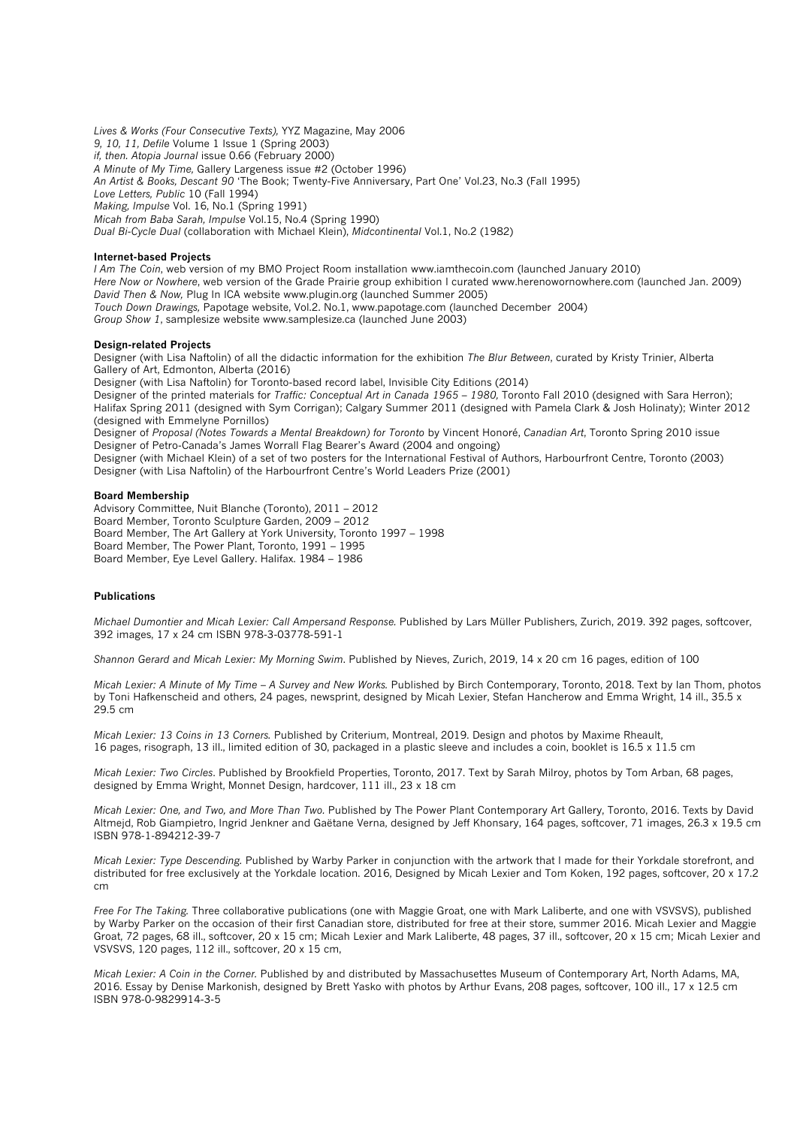*Lives & Works (Four Consecutive Texts),* YYZ Magazine, May 2006 *9, 10, 11, Defile* Volume 1 Issue 1 (Spring 2003) *if, then. Atopia Journal* issue 0.66 (February 2000) *A Minute of My Time,* Gallery Largeness issue #2 (October 1996) *An Artist & Books, Descant 90* 'The Book; Twenty-Five Anniversary, Part One' Vol.23, No.3 (Fall 1995) *Love Letters, Public* 10 (Fall 1994) *Making, Impulse* Vol. 16, No.1 (Spring 1991) *Micah from Baba Sarah, Impulse* Vol.15, No.4 (Spring 1990) *Dual Bi-Cycle Dual* (collaboration with Michael Klein), *Midcontinental* Vol.1, No.2 (1982)

#### **Internet-based Projects**

*I Am The Coin*, web version of my BMO Project Room installation www.iamthecoin.com (launched January 2010) *Here Now or Nowhere*, web version of the Grade Prairie group exhibition I curated www.herenowornowhere.com (launched Jan. 2009) *David Then & Now,* Plug In ICA website www.plugin.org (launched Summer 2005) *Touch Down Drawings,* Papotage website, Vol.2. No.1, www.papotage.com (launched December 2004) *Group Show 1*, samplesize website www.samplesize.ca (launched June 2003)

### **Design-related Projects**

Designer (with Lisa Naftolin) of all the didactic information for the exhibition *The Blur Between*, curated by Kristy Trinier, Alberta Gallery of Art, Edmonton, Alberta (2016)

Designer (with Lisa Naftolin) for Toronto-based record label, Invisible City Editions (2014)

Designer of the printed materials for *Traffic: Conceptual Art in Canada 1965 – 1980,* Toronto Fall 2010 (designed with Sara Herron); Halifax Spring 2011 (designed with Sym Corrigan); Calgary Summer 2011 (designed with Pamela Clark & Josh Holinaty); Winter 2012 (designed with Emmelyne Pornillos)

Designer of *Proposal (Notes Towards a Mental Breakdown) for Toronto* by Vincent Honoré, *Canadian Art*, Toronto Spring 2010 issue Designer of Petro-Canada's James Worrall Flag Bearer's Award (2004 and ongoing)

Designer (with Michael Klein) of a set of two posters for the International Festival of Authors, Harbourfront Centre, Toronto (2003) Designer (with Lisa Naftolin) of the Harbourfront Centre's World Leaders Prize (2001)

#### **Board Membership**

Advisory Committee, Nuit Blanche (Toronto), 2011 – 2012 Board Member, Toronto Sculpture Garden, 2009 – 2012 Board Member, The Art Gallery at York University, Toronto 1997 – 1998 Board Member, The Power Plant, Toronto, 1991 – 1995 Board Member, Eye Level Gallery. Halifax. 1984 – 1986

# **Publications**

*Michael Dumontier and Micah Lexier: Call Ampersand Response.* Published by Lars Müller Publishers, Zurich, 2019. 392 pages, softcover, 392 images, 17 x 24 cm ISBN 978-3-03778-591-1

*Shannon Gerard and Micah Lexier: My Morning Swim*. Published by Nieves, Zurich, 2019, 14 x 20 cm 16 pages, edition of 100

*Micah Lexier: A Minute of My Time – A Survey and New Works.* Published by Birch Contemporary, Toronto, 2018. Text by Ian Thom, photos by Toni Hafkenscheid and others, 24 pages, newsprint, designed by Micah Lexier, Stefan Hancherow and Emma Wright, 14 ill., 35.5 x 29.5 cm

*Micah Lexier: 13 Coins in 13 Corners.* Published by Criterium, Montreal, 2019. Design and photos by Maxime Rheault, 16 pages, risograph, 13 ill., limited edition of 30, packaged in a plastic sleeve and includes a coin, booklet is 16.5 x 11.5 cm

*Micah Lexier: Two Circles*. Published by Brookfield Properties, Toronto, 2017. Text by Sarah Milroy, photos by Tom Arban, 68 pages, designed by Emma Wright, Monnet Design, hardcover, 111 ill., 23 x 18 cm

*Micah Lexier: One, and Two, and More Than Two.* Published by The Power Plant Contemporary Art Gallery, Toronto, 2016. Texts by David Altmejd, Rob Giampietro, Ingrid Jenkner and Gaëtane Verna, designed by Jeff Khonsary, 164 pages, softcover, 71 images, 26.3 x 19.5 cm ISBN 978-1-894212-39-7

*Micah Lexier: Type Descending.* Published by Warby Parker in conjunction with the artwork that I made for their Yorkdale storefront, and distributed for free exclusively at the Yorkdale location. 2016, Designed by Micah Lexier and Tom Koken, 192 pages, softcover, 20 x 17.2 cm

*Free For The Taking.* Three collaborative publications (one with Maggie Groat, one with Mark Laliberte, and one with VSVSVS), published by Warby Parker on the occasion of their first Canadian store, distributed for free at their store, summer 2016. Micah Lexier and Maggie Groat, 72 pages, 68 ill., softcover, 20 x 15 cm; Micah Lexier and Mark Laliberte, 48 pages, 37 ill., softcover, 20 x 15 cm; Micah Lexier and VSVSVS, 120 pages, 112 ill., softcover, 20 x 15 cm,

*Micah Lexier: A Coin in the Corner.* Published by and distributed by Massachusettes Museum of Contemporary Art, North Adams, MA, 2016. Essay by Denise Markonish, designed by Brett Yasko with photos by Arthur Evans, 208 pages, softcover, 100 ill., 17 x 12.5 cm ISBN 978-0-9829914-3-5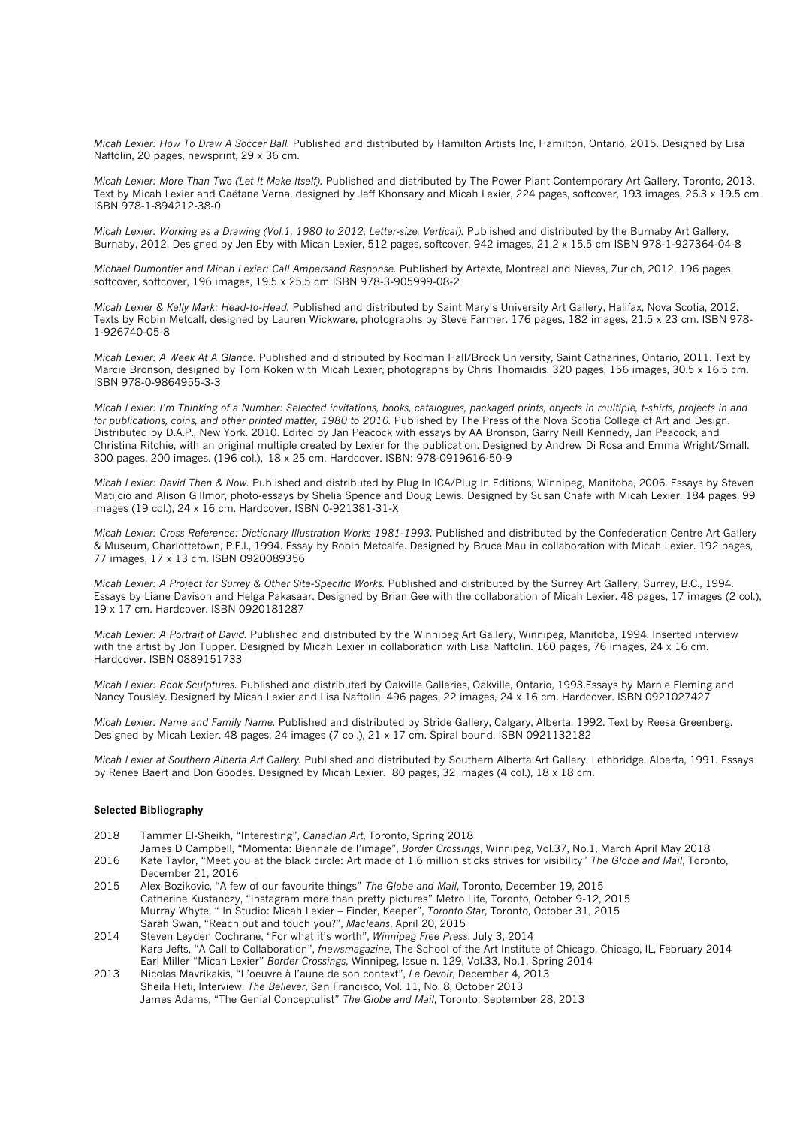*Micah Lexier: How To Draw A Soccer Ball.* Published and distributed by Hamilton Artists Inc, Hamilton, Ontario, 2015. Designed by Lisa Naftolin, 20 pages, newsprint, 29 x 36 cm.

*Micah Lexier: More Than Two (Let It Make Itself).* Published and distributed by The Power Plant Contemporary Art Gallery, Toronto, 2013. Text by Micah Lexier and Gaëtane Verna, designed by Jeff Khonsary and Micah Lexier, 224 pages, softcover, 193 images, 26.3 x 19.5 cm ISBN 978-1-894212-38-0

*Micah Lexier: Working as a Drawing (Vol.1, 1980 to 2012, Letter-size, Vertical). Published and distributed by the Burnaby Art Gallery* Burnaby, 2012. Designed by Jen Eby with Micah Lexier, 512 pages, softcover, 942 images, 21.2 x 15.5 cm ISBN 978-1-927364-04-8

*Michael Dumontier and Micah Lexier: Call Ampersand Response.* Published by Artexte, Montreal and Nieves, Zurich, 2012. 196 pages, softcover, softcover, 196 images, 19.5 x 25.5 cm ISBN 978-3-905999-08-2

*Micah Lexier & Kelly Mark: Head-to-Head.* Published and distributed by Saint Mary's University Art Gallery, Halifax, Nova Scotia, 2012. Texts by Robin Metcalf, designed by Lauren Wickware, photographs by Steve Farmer. 176 pages, 182 images, 21.5 x 23 cm. ISBN 978- 1-926740-05-8

*Micah Lexier: A Week At A Glance.* Published and distributed by Rodman Hall/Brock University, Saint Catharines, Ontario, 2011. Text by Marcie Bronson, designed by Tom Koken with Micah Lexier, photographs by Chris Thomaidis. 320 pages, 156 images, 30.5 x 16.5 cm. ISBN 978-0-9864955-3-3

*Micah Lexier: I'm Thinking of a Number: Selected invitations, books, catalogues, packaged prints, objects in multiple, t-shirts, projects in and for publications, coins, and other printed matter, 1980 to 2010.* Published by The Press of the Nova Scotia College of Art and Design. Distributed by D.A.P., New York. 2010. Edited by Jan Peacock with essays by AA Bronson, Garry Neill Kennedy, Jan Peacock, and Christina Ritchie, with an original multiple created by Lexier for the publication. Designed by Andrew Di Rosa and Emma Wright/Small. 300 pages, 200 images. (196 col.), 18 x 25 cm. Hardcover. ISBN: 978-0919616-50-9

*Micah Lexier: David Then & Now.* Published and distributed by Plug In ICA/Plug In Editions, Winnipeg, Manitoba, 2006. Essays by Steven Matijcio and Alison Gillmor, photo-essays by Shelia Spence and Doug Lewis. Designed by Susan Chafe with Micah Lexier. 184 pages, 99 images (19 col.), 24 x 16 cm. Hardcover. ISBN 0-921381-31-X

*Micah Lexier: Cross Reference: Dictionary Illustration Works 1981-1993. Published and distributed by the Confederation Centre Art Gallery* & Museum, Charlottetown, P.E.I., 1994. Essay by Robin Metcalfe. Designed by Bruce Mau in collaboration with Micah Lexier. 192 pages, 77 images, 17 x 13 cm. ISBN 0920089356

*Micah Lexier: A Project for Surrey & Other Site-Specific Works. Published and distributed by the Surrey Art Gallery, Surrey, B.C., 1994.* Essays by Liane Davison and Helga Pakasaar. Designed by Brian Gee with the collaboration of Micah Lexier. 48 pages, 17 images (2 col.), 19 x 17 cm. Hardcover. ISBN 0920181287

*Micah Lexier: A Portrait of David.* Published and distributed by the Winnipeg Art Gallery, Winnipeg, Manitoba, 1994. Inserted interview with the artist by Jon Tupper. Designed by Micah Lexier in collaboration with Lisa Naftolin. 160 pages, 76 images, 24 x 16 cm. Hardcover. ISBN 0889151733

*Micah Lexier: Book Sculptures.* Published and distributed by Oakville Galleries, Oakville, Ontario, 1993.Essays by Marnie Fleming and Nancy Tousley. Designed by Micah Lexier and Lisa Naftolin. 496 pages, 22 images, 24 x 16 cm. Hardcover. ISBN 0921027427

*Micah Lexier: Name and Family Name.* Published and distributed by Stride Gallery, Calgary, Alberta, 1992. Text by Reesa Greenberg. Designed by Micah Lexier. 48 pages, 24 images (7 col.), 21 x 17 cm. Spiral bound. ISBN 0921132182

*Micah Lexier at Southern Alberta Art Gallery.* Published and distributed by Southern Alberta Art Gallery, Lethbridge, Alberta, 1991. Essays by Renee Baert and Don Goodes. Designed by Micah Lexier. 80 pages, 32 images (4 col.), 18 x 18 cm.

# **Selected Bibliography**

- 2018 Tammer El-Sheikh, "Interesting", *Canadian Art*, Toronto, Spring 2018
- James D Campbell, "Momenta: Biennale de l'image", *Border Crossings*, Winnipeg, Vol.37, No.1, March April May 2018 2016 Kate Taylor, "Meet you at the black circle: Art made of 1.6 million sticks strives for visibility" *The Globe and Mail*, Toronto, December 21, 2016
- 2015 Alex Bozikovic, "A few of our favourite things" *The Globe and Mail*, Toronto, December 19, 2015 Catherine Kustanczy, "Instagram more than pretty pictures" Metro Life, Toronto, October 9-12, 2015 Murray Whyte, " In Studio: Micah Lexier – Finder, Keeper", *Toronto Star*, Toronto, October 31, 2015 Sarah Swan, "Reach out and touch you?", *Macleans*, April 20, 2015
- 2014 Steven Leyden Cochrane, "For what it's worth", *Winnipeg Free Press*, July 3, 2014 Kara Jefts, "A Call to Collaboration", *fnewsmagazine*, The School of the Art Institute of Chicago, Chicago, IL, February 2014 Earl Miller "Micah Lexier" *Border Crossings*, Winnipeg, Issue n. 129, Vol.33, No.1, Spring 2014
- 2013 Nicolas Mavrikakis, "L'oeuvre à l'aune de son context", *Le Devoir*, December 4, 2013 Sheila Heti, Interview, *The Believer*, San Francisco, Vol. 11, No. 8, October 2013 James Adams, "The Genial Conceptulist" *The Globe and Mail*, Toronto, September 28, 2013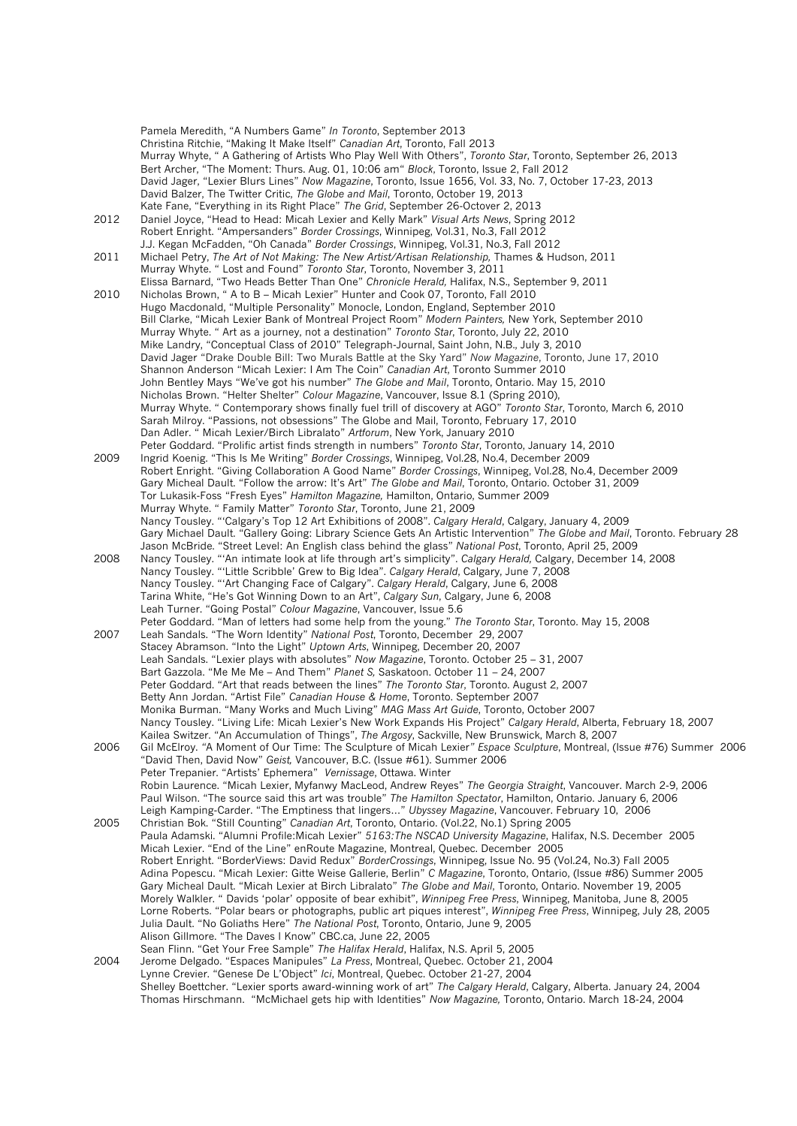Pamela Meredith, "A Numbers Game" *In Toronto*, September 2013 Christina Ritchie, "Making It Make Itself" *Canadian Art*, Toronto, Fall 2013 Murray Whyte, " A Gathering of Artists Who Play Well With Others", *Toronto Star*, Toronto, September 26, 2013 Bert Archer, "The Moment: Thurs. Aug. 01, 10:06 am" *Block*, Toronto, Issue 2, Fall 2012 David Jager, "Lexier Blurs Lines" *Now Magazine*, Toronto, Issue 1656, Vol. 33, No. 7, October 17-23, 2013 David Balzer, The Twitter Critic, *The Globe and Mail*, Toronto, October 19, 2013 Kate Fane, "Everything in its Right Place" *The Grid*, September 26-Octover 2, 2013 2012 Daniel Joyce, "Head to Head: Micah Lexier and Kelly Mark" *Visual Arts News*, Spring 2012 Robert Enright. "Ampersanders" *Border Crossings*, Winnipeg, Vol.31, No.3, Fall 2012 J.J. Kegan McFadden, "Oh Canada" *Border Crossings*, Winnipeg, Vol.31, No.3, Fall 2012 2011 Michael Petry, *The Art of Not Making: The New Artist/Artisan Relationship,* Thames & Hudson, 2011 Murray Whyte. " Lost and Found" *Toronto Star*, Toronto, November 3, 2011 Elissa Barnard, "Two Heads Better Than One" *Chronicle Herald,* Halifax, N.S., September 9, 2011 2010 Nicholas Brown, " A to B – Micah Lexier" Hunter and Cook 07, Toronto, Fall 2010 Hugo Macdonald, "Multiple Personality" Monocle, London, England, September 2010 Bill Clarke, "Micah Lexier Bank of Montreal Project Room" *Modern Painters,* New York, September 2010 Murray Whyte. " Art as a journey, not a destination" *Toronto Star*, Toronto, July 22, 2010 Mike Landry, "Conceptual Class of 2010" Telegraph-Journal, Saint John, N.B., July 3, 2010 David Jager "Drake Double Bill: Two Murals Battle at the Sky Yard" *Now Magazine*, Toronto, June 17, 2010 Shannon Anderson "Micah Lexier: I Am The Coin" *Canadian Art*, Toronto Summer 2010 John Bentley Mays "We've got his number" *The Globe and Mail*, Toronto, Ontario. May 15, 2010 Nicholas Brown. "Helter Shelter" *Colour Magazine*, Vancouver, Issue 8.1 (Spring 2010), Murray Whyte. " Contemporary shows finally fuel trill of discovery at AGO" *Toronto Star*, Toronto, March 6, 2010 Sarah Milroy. "Passions, not obsessions" The Globe and Mail, Toronto, February 17, 2010 Dan Adler. " Micah Lexier/Birch Libralato" *Artforum*, New York, January 2010 Peter Goddard. "Prolific artist finds strength in numbers" *Toronto Star*, Toronto, January 14, 2010 2009 Ingrid Koenig. "This Is Me Writing" *Border Crossings*, Winnipeg, Vol.28, No.4, December 2009 Robert Enright. "Giving Collaboration A Good Name" *Border Crossings*, Winnipeg, Vol.28, No.4, December 2009 Gary Micheal Dault. "Follow the arrow: It's Art" *The Globe and Mail*, Toronto, Ontario. October 31, 2009 Tor Lukasik-Foss "Fresh Eyes" *Hamilton Magazine,* Hamilton, Ontario, Summer 2009 Murray Whyte. " Family Matter" *Toronto Star*, Toronto, June 21, 2009 Nancy Tousley. "'Calgary's Top 12 Art Exhibitions of 2008". *Calgary Herald*, Calgary, January 4, 2009 Gary Michael Dault. "Gallery Going: Library Science Gets An Artistic Intervention" *The Globe and Mail*, Toronto. February 28 Jason McBride. "Street Level: An English class behind the glass" *National Post*, Toronto, April 25, 2009 2008 Nancy Tousley. "'An intimate look at life through art's simplicity". *Calgary Herald,* Calgary, December 14, 2008 Nancy Tousley. "'Little Scribble' Grew to Big Idea". *Calgary Herald*, Calgary, June 7, 2008 Nancy Tousley. "'Art Changing Face of Calgary". *Calgary Herald*, Calgary, June 6, 2008 Tarina White, "He's Got Winning Down to an Art", *Calgary Sun*, Calgary, June 6, 2008 Leah Turner. "Going Postal" *Colour Magazine*, Vancouver, Issue 5.6 Peter Goddard. "Man of letters had some help from the young." *The Toronto Star*, Toronto. May 15, 2008 2007 Leah Sandals. "The Worn Identity" *National Post*, Toronto, December 29, 2007 Stacey Abramson. "Into the Light" *Uptown Arts*, Winnipeg, December 20, 2007 Leah Sandals. "Lexier plays with absolutes" *Now Magazine*, Toronto. October 25 – 31, 2007 Bart Gazzola. "Me Me Me – And Them" *Planet S,* Saskatoon. October 11 – 24, 2007 Peter Goddard. "Art that reads between the lines" *The Toronto Star*, Toronto. August 2, 2007 Betty Ann Jordan. "Artist File" *Canadian House & Home*, Toronto. September 2007 Monika Burman. "Many Works and Much Living" *MAG Mass Art Guide*, Toronto, October 2007 Nancy Tousley. "Living Life: Micah Lexier's New Work Expands His Project" *Calgary Herald*, Alberta, February 18, 2007 Kailea Switzer. "An Accumulation of Things", *The Argosy*, Sackville, New Brunswick, March 8, 2007 2006 Gil McElroy. *"*A Moment of Our Time: The Sculpture of Micah Lexier*" Espace Sculpture*, Montreal, (Issue #76) Summer 2006 "David Then, David Now" *Geist,* Vancouver, B.C. (Issue #61). Summer 2006 Peter Trepanier. "Artists' Ephemera" *Vernissage*, Ottawa. Winter Robin Laurence. "Micah Lexier, Myfanwy MacLeod, Andrew Reyes" *The Georgia Straight*, Vancouver. March 2-9, 2006 Paul Wilson. "The source said this art was trouble" *The Hamilton Spectator*, Hamilton, Ontario. January 6, 2006 Leigh Kamping-Carder. "The Emptiness that lingers…" *Ubyssey Magazine*, Vancouver. February 10, 2006 2005 Christian Bok. "Still Counting" *Canadian Art*, Toronto, Ontario. (Vol.22, No.1) Spring 2005 Paula Adamski. "Alumni Profile:Micah Lexier" *5163:The NSCAD University Magazine*, Halifax, N.S. December 2005 Micah Lexier. "End of the Line" enRoute Magazine, Montreal, Quebec. December 2005 Robert Enright. "BorderViews: David Redux" *BorderCrossings*, Winnipeg, Issue No. 95 (Vol.24, No.3) Fall 2005 Adina Popescu. "Micah Lexier: Gitte Weise Gallerie, Berlin" *C Magazine*, Toronto, Ontario, (Issue #86) Summer 2005 Gary Micheal Dault. "Micah Lexier at Birch Libralato" *The Globe and Mail*, Toronto, Ontario. November 19, 2005 Morely Walkler. " Davids 'polar' opposite of bear exhibit", *Winnipeg Free Press*, Winnipeg, Manitoba, June 8, 2005 Lorne Roberts. "Polar bears or photographs, public art piques interest", *Winnipeg Free Press*, Winnipeg, July 28, 2005 Julia Dault. "No Goliaths Here" *The National Post*, Toronto, Ontario, June 9, 2005 Alison Gillmore. "The Daves I Know" CBC.ca, June 22, 2005 Sean Flinn. "Get Your Free Sample" *The Halifax Herald*, Halifax, N.S. April 5, 2005 2004 Jerome Delgado. "Espaces Manipules" *La Press*, Montreal, Quebec. October 21, 2004 Lynne Crevier. "Genese De L'Object" *Ici*, Montreal, Quebec. October 21-27, 2004 Shelley Boettcher. "Lexier sports award-winning work of art" *The Calgary Herald*, Calgary, Alberta. January 24, 2004 Thomas Hirschmann. "McMichael gets hip with Identities" *Now Magazine,* Toronto, Ontario. March 18-24, 2004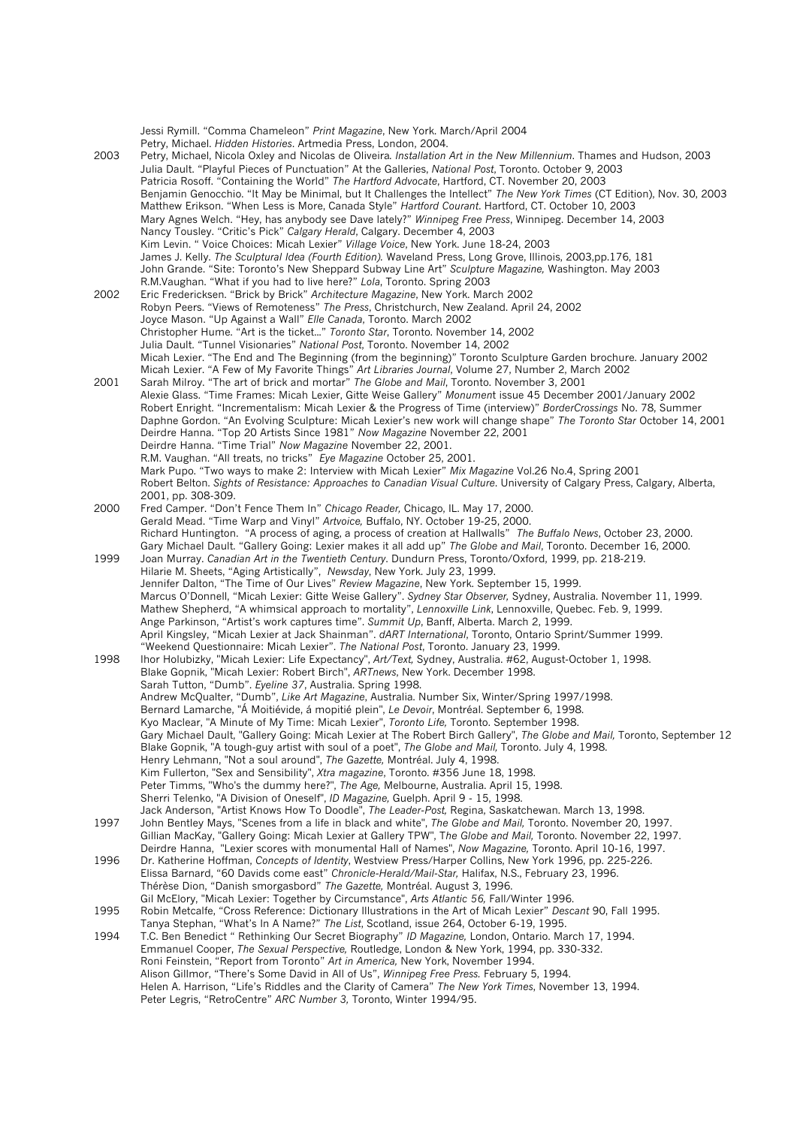Jessi Rymill. "Comma Chameleon" *Print Magazine*, New York. March/April 2004 Petry, Michael. *Hidden Histories*. Artmedia Press, London, 2004. 2003 Petry, Michael, Nicola Oxley and Nicolas de Oliveira*. Installation Art in the New Millennium*. Thames and Hudson, 2003 Julia Dault. "Playful Pieces of Punctuation" At the Galleries, *National Post*, Toronto. October 9, 2003 Patricia Rosoff. "Containing the World" *The Hartford Advocate*, Hartford, CT. November 20, 2003 Benjamin Genocchio. "It May be Minimal, but It Challenges the Intellect" *The New York Times* (CT Edition), Nov. 30, 2003 Matthew Erikson. "When Less is More, Canada Style" *Hartford Courant*. Hartford, CT. October 10, 2003 Mary Agnes Welch. "Hey, has anybody see Dave lately?" *Winnipeg Free Press*, Winnipeg. December 14, 2003 Nancy Tousley. "Critic's Pick" *Calgary Herald*, Calgary. December 4, 2003 Kim Levin. " Voice Choices: Micah Lexier" *Village Voice*, New York. June 18-24, 2003 James J. Kelly. *The Sculptural Idea (Fourth Edition).* Waveland Press, Long Grove, Illinois, 2003,pp.176, 181 John Grande. "Site: Toronto's New Sheppard Subway Line Art" *Sculpture Magazine,* Washington. May 2003 R.M.Vaughan. "What if you had to live here?" *Lola*, Toronto. Spring 2003 2002 Eric Fredericksen. "Brick by Brick" *Architecture Magazine*, New York. March 2002 Robyn Peers. "Views of Remoteness" *The Press*, Christchurch, New Zealand. April 24, 2002 Joyce Mason. "Up Against a Wall" *Elle Canada*, Toronto. March 2002 Christopher Hume. "Art is the ticket..." *Toronto Star*, Toronto. November 14, 2002 Julia Dault. "Tunnel Visionaries" *National Post*, Toronto. November 14, 2002 Micah Lexier. "The End and The Beginning (from the beginning)" Toronto Sculpture Garden brochure. January 2002 Micah Lexier. "A Few of My Favorite Things" *Art Libraries Journal*, Volume 27, Number 2, March 2002 2001 Sarah Milroy. "The art of brick and mortar" *The Globe and Mail*, Toronto. November 3, 2001 Alexie Glass. "Time Frames: Micah Lexier, Gitte Weise Gallery" *Monumen*t issue 45 December 2001/January 2002 Robert Enright. "Incrementalism: Micah Lexier & the Progress of Time (interview)" *BorderCrossings* No. 78, Summer Daphne Gordon. "An Evolving Sculpture: Micah Lexier's new work will change shape" *The Toronto Star* October 14, 2001 Deirdre Hanna. "Top 20 Artists Since 1981" *Now Magazine* November 22, 2001 Deirdre Hanna. "Time Trial" *Now Magazine* November 22, 2001. R.M. Vaughan. "All treats, no tricks" *Eye Magazine* October 25, 2001. Mark Pupo. "Two ways to make 2: Interview with Micah Lexier" *Mix Magazine* Vol.26 No.4, Spring 2001 Robert Belton. *Sights of Resistance: Approaches to Canadian Visual Culture*. University of Calgary Press, Calgary, Alberta, 2001, pp. 308-309. 2000 Fred Camper. "Don't Fence Them In" *Chicago Reader,* Chicago, IL. May 17, 2000. Gerald Mead. "Time Warp and Vinyl" *Artvoice,* Buffalo, NY. October 19-25, 2000. Richard Huntington. "A process of aging, a process of creation at Hallwalls" *The Buffalo News*, October 23, 2000. Gary Michael Dault. "Gallery Going: Lexier makes it all add up" *The Globe and Mail*, Toronto. December 16, 2000. 1999 Joan Murray. *Canadian Art in the Twentieth Century*. Dundurn Press, Toronto/Oxford, 1999, pp. 218-219. Hilarie M. Sheets, "Aging Artistically", *Newsday*, New York. July 23, 1999. Jennifer Dalton, "The Time of Our Lives" *Review Magazine*, New York. September 15, 1999. Marcus O'Donnell, "Micah Lexier: Gitte Weise Gallery". *Sydney Star Observer,* Sydney, Australia. November 11, 1999. Mathew Shepherd, "A whimsical approach to mortality", *Lennoxville Link*, Lennoxville, Quebec. Feb. 9, 1999. Ange Parkinson, "Artist's work captures time". *Summit Up*, Banff, Alberta. March 2, 1999. April Kingsley, "Micah Lexier at Jack Shainman". *dART International*, Toronto, Ontario Sprint/Summer 1999. "Weekend Questionnaire: Micah Lexier". *The National Post*, Toronto. January 23, 1999. 1998 Ihor Holubizky, "Micah Lexier: Life Expectancy", *Art/Text,* Sydney, Australia. #62, August-October 1, 1998. Blake Gopnik, "Micah Lexier: Robert Birch", *ARTnews*, New York. December 1998. Sarah Tutton, "Dumb". *Eyeline 37*, Australia. Spring 1998. Andrew McQualter, "Dumb", *Like Art Magazine*, Australia. Number Six, Winter/Spring 1997/1998. Bernard Lamarche, "Á Moitiévide, á mopitié plein", *Le Devoir*, Montréal. September 6, 1998. Kyo Maclear, "A Minute of My Time: Micah Lexier", *Toronto Life,* Toronto. September 1998. Gary Michael Dault, "Gallery Going: Micah Lexier at The Robert Birch Gallery", *The Globe and Mail,* Toronto, September 12 Blake Gopnik, "A tough-guy artist with soul of a poet", *The Globe and Mail,* Toronto. July 4, 1998. Henry Lehmann, "Not a soul around", *The Gazette,* Montréal. July 4, 1998. Kim Fullerton, "Sex and Sensibility", *Xtra magazine*, Toronto. #356 June 18, 1998. Peter Timms, "Who's the dummy here?", *The Age,* Melbourne, Australia. April 15, 1998. Sherri Telenko, "A Division of Oneself", *ID Magazine,* Guelph. April 9 - 15, 1998. Jack Anderson, "Artist Knows How To Doodle", *The Leader-Post,* Regina, Saskatchewan. March 13, 1998. 1997 John Bentley Mays, "Scenes from a life in black and white", *The Globe and Mail,* Toronto. November 20, 1997. Gillian MacKay, "Gallery Going: Micah Lexier at Gallery TPW", T*he Globe and Mail,* Toronto. November 22, 1997. Deirdre Hanna, "Lexier scores with monumental Hall of Names", *Now Magazine,* Toronto. April 10-16, 1997. 1996 Dr. Katherine Hoffman, *Concepts of Identity*, Westview Press/Harper Collins, New York 1996, pp. 225-226. Elissa Barnard, "60 Davids come east" *Chronicle-Herald/Mail-Star,* Halifax, N.S., February 23, 1996. Thérèse Dion, "Danish smorgasbord" *The Gazette,* Montréal. August 3, 1996. Gil McElory, "Micah Lexier: Together by Circumstance", *Arts Atlantic 56,* Fall/Winter 1996. 1995 Robin Metcalfe, "Cross Reference: Dictionary Illustrations in the Art of Micah Lexier" *Descant* 90, Fall 1995. Tanya Stephan, "What's In A Name?" *The List*, Scotland, issue 264, October 6-19, 1995. 1994 T.C. Ben Benedict " Rethinking Our Secret Biography" *ID Magazine,* London, Ontario. March 17, 1994. Emmanuel Cooper, *The Sexual Perspective,* Routledge, London & New York, 1994, pp. 330-332. Roni Feinstein, "Report from Toronto" *Art in America,* New York, November 1994. Alison Gillmor, "There's Some David in All of Us", *Winnipeg Free Press.* February 5, 1994. Helen A. Harrison, "Life's Riddles and the Clarity of Camera" *The New York Times*, November 13, 1994. Peter Legris, "RetroCentre" *ARC Number 3,* Toronto, Winter 1994/95.